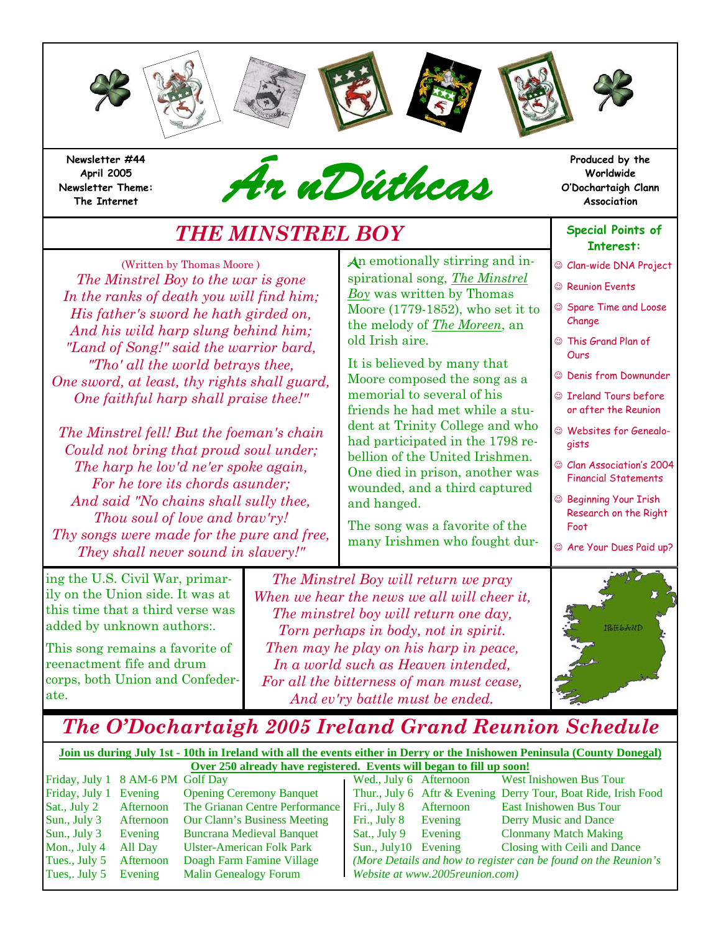

**Newsletter #44 April 2005 Newsletter Theme:** 



# *THE MINSTREL BOY*

(Written by Thomas Moore ) *The Minstrel Boy to the war is gone In the ranks of death you will find him; His father's sword he hath girded on, And his wild harp slung behind him; "Land of Song!" said the warrior bard, "Tho' all the world betrays thee, One sword, at least, thy rights shall guard, One faithful harp shall praise thee!"* 

*The Minstrel fell! But the foeman's chain Could not bring that proud soul under; The harp he lov'd ne'er spoke again, For he tore its chords asunder; And said "No chains shall sully thee, Thou soul of love and brav'ry! Thy songs were made for the pure and free, They shall never sound in slavery!"* 

ing the U.S. Civil War, primarily on the Union side. It was at this time that a third verse was added by unknown authors:.

This song remains a favorite of reenactment fife and drum corps, both Union and Confederate.

An emotionally stirring and inspirational song, *The Minstrel Boy* was written by Thomas Moore (1779-1852), who set it to the melody of *The Moreen*, an old Irish aire.

It is believed by many that Moore composed the song as a memorial to several of his friends he had met while a student at Trinity College and who had participated in the 1798 rebellion of the United Irishmen. One died in prison, another was wounded, and a third captured and hanged.

The song was a favorite of the many Irishmen who fought dur-

**Produced by the Worldwide O'Dochartaigh Clann Association**

#### **Special Points of Interest:**

- ☺ Clan-wide DNA Project
- ☺ Reunion Events
- ☺ Spare Time and Loose Change
- ☺ This Grand Plan of **Ours**
- ☺ Denis from Downunder
- ☺ Ireland Tours before or after the Reunion
- ☺ Websites for Genealogists
- ☺ Clan Association's 2004 Financial Statements
- ☺ Beginning Your Irish Research on the Right Foot
- ☺ Are Your Dues Paid up?

*The Minstrel Boy will return we pray When we hear the news we all will cheer it, The minstrel boy will return one day, Torn perhaps in body, not in spirit. Then may he play on his harp in peace, In a world such as Heaven intended, For all the bitterness of man must cease, And ev'ry battle must be ended.*



# *The O'Dochartaigh 2005 Ireland Grand Reunion Schedule*

**Join us during July 1st - 10th in Ireland with all the events either in Derry or the Inishowen Peninsula (County Donegal) Over 250 already have registered. Events will began to fill up soon!** Friday, July 1 8 AM-6 PM Golf Day Wed., July 6 Afternoon West Inishowen Bus Tour Friday, July 1 Evening Opening Ceremony Banquet Thur., July 6 Aftr & Evening Derry Tour, Boat Ride, Irish Food

Tues,. July 5 Evening Malin Genealogy Forum *Website at www.2005reunion.com)*

Sat., July 2 Afternoon The Grianan Centre Performance Fri., July 8 Afternoon East Inishowen Bus Tour Sun., July 3 Afternoon Our Clann's Business Meeting Fri., July 8 Evening Derry Music and Dance Sun., July 3 Evening Buncrana Medieval Banquet Sat., July 9 Evening Clonmany Match Making Mon., July 4 All Day Ulster-American Folk Park Sun., July10 Evening Closing with Ceili and Dance Tues., July 5 Afternoon Doagh Farm Famine Village *(More Details and how to register can be found on the Reunion's*<br>Tues.. July 5 Evening Malin Genealogy Forum *Website at www.2005reunion.com*)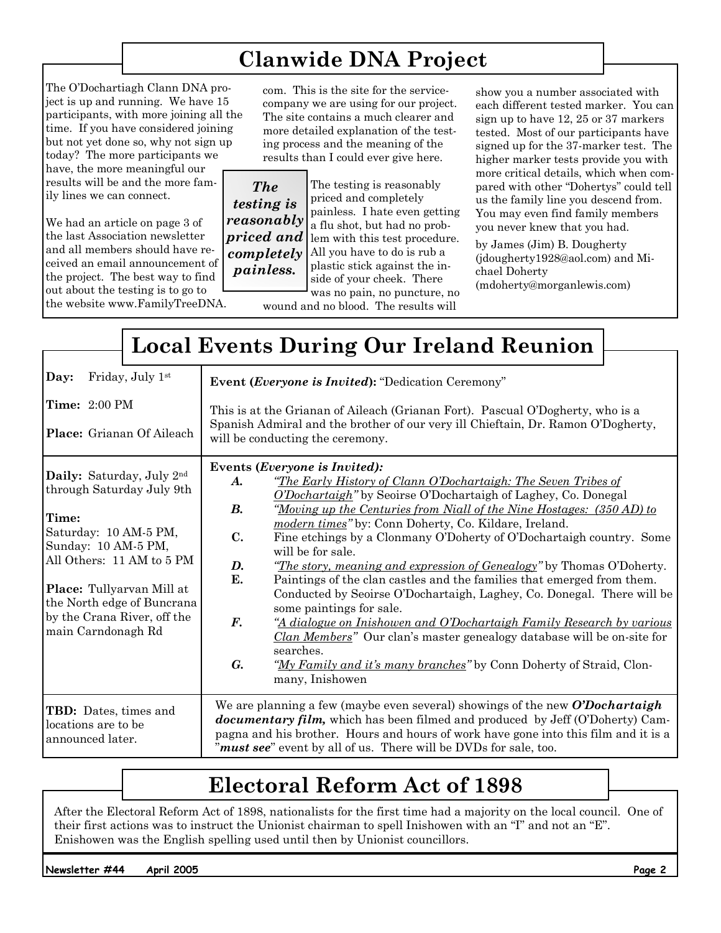# **Clanwide DNA Project**

The O'Dochartiagh Clann DNA project is up and running. We have 15 participants, with more joining all the time. If you have considered joining but not yet done so, why not sign up today? The more participants we have, the more meaningful our results will be and the more family lines we can connect.

We had an article on page 3 of the last Association newsletter and all members should have received an email announcement of the project. The best way to find out about the testing is to go to the website www.FamilyTreeDNA. com. This is the site for the servicecompany we are using for our project. The site contains a much clearer and more detailed explanation of the testing process and the meaning of the results than I could ever give here.

*The testing is reasonably priced and completely painless.* 

The testing is reasonably priced and completely painless. I hate even getting a flu shot, but had no problem with this test procedure. All you have to do is rub a plastic stick against the inside of your cheek. There

was no pain, no puncture, no wound and no blood. The results will

show you a number associated with each different tested marker. You can sign up to have 12, 25 or 37 markers tested. Most of our participants have signed up for the 37-marker test. The higher marker tests provide you with more critical details, which when compared with other "Dohertys" could tell us the family line you descend from. You may even find family members you never knew that you had.

by James (Jim) B. Dougherty (jdougherty1928@aol.com) and Michael Doherty (mdoherty@morganlewis.com)

|                                                                                                                                                                                                                                                              | <b>Local Events During Our Ireland Reunion</b>                                                                                                                                                                                                                                                                                                                                                                                                                                                                                                                                                                                                                                                                                                                                                                                                                                                                                                                                                                                    |
|--------------------------------------------------------------------------------------------------------------------------------------------------------------------------------------------------------------------------------------------------------------|-----------------------------------------------------------------------------------------------------------------------------------------------------------------------------------------------------------------------------------------------------------------------------------------------------------------------------------------------------------------------------------------------------------------------------------------------------------------------------------------------------------------------------------------------------------------------------------------------------------------------------------------------------------------------------------------------------------------------------------------------------------------------------------------------------------------------------------------------------------------------------------------------------------------------------------------------------------------------------------------------------------------------------------|
| Friday, July 1st<br>Day:<br><b>Time:</b> 2:00 PM<br><b>Place:</b> Grianan Of Aileach                                                                                                                                                                         | <b>Event (Everyone is Invited): "Dedication Ceremony"</b><br>This is at the Grianan of Aileach (Grianan Fort). Pascual O'Dogherty, who is a<br>Spanish Admiral and the brother of our very ill Chieftain, Dr. Ramon O'Dogherty,<br>will be conducting the ceremony.                                                                                                                                                                                                                                                                                                                                                                                                                                                                                                                                                                                                                                                                                                                                                               |
| Daily: Saturday, July 2nd<br>through Saturday July 9th<br>Time:<br>Saturday: 10 AM-5 PM,<br>Sunday: 10 AM-5 PM,<br>All Others: 11 AM to 5 PM<br>Place: Tullyarvan Mill at<br>the North edge of Buncrana<br>by the Crana River, off the<br>main Carndonagh Rd | Events ( <i>Everyone is Invited</i> ):<br>"The Early History of Clann O'Dochartaigh: The Seven Tribes of<br>A.<br>O'Dochartaigh" by Seoirse O'Dochartaigh of Laghey, Co. Donegal<br>"Moving up the Centuries from Niall of the Nine Hostages: (350 AD) to<br><b>B.</b><br>modern times" by: Conn Doherty, Co. Kildare, Ireland.<br>$\mathbf{C}$ .<br>Fine etchings by a Clonmany O'Doherty of O'Dochartaigh country. Some<br>will be for sale.<br>D.<br><i>The story, meaning and expression of Genealogy</i> " by Thomas O'Doherty.<br>E.<br>Paintings of the clan castles and the families that emerged from them.<br>Conducted by Seoirse O'Dochartaigh, Laghey, Co. Donegal. There will be<br>some paintings for sale.<br>$\boldsymbol{F}$ .<br>"A dialogue on Inishowen and O'Dochartaigh Family Research by various<br><i>Clan Members</i> " Our clan's master genealogy database will be on-site for<br>searches.<br>$G_{\cdot}$<br>"My Family and it's many branches" by Conn Doherty of Straid, Clon-<br>many, Inishowen |
| TBD: Dates, times and<br>locations are to be<br>announced later.                                                                                                                                                                                             | We are planning a few (maybe even several) showings of the new $O'Dochartaigh$<br><b>documentary film,</b> which has been filmed and produced by Jeff (O'Doherty) Cam-<br>pagna and his brother. Hours and hours of work have gone into this film and it is a<br>"must see" event by all of us. There will be DVDs for sale, too.                                                                                                                                                                                                                                                                                                                                                                                                                                                                                                                                                                                                                                                                                                 |

# **Electoral Reform Act of 1898**

After the Electoral Reform Act of 1898, nationalists for the first time had a majority on the local council. One of their first actions was to instruct the Unionist chairman to spell Inishowen with an "I" and not an "E". Enishowen was the English spelling used until then by Unionist councillors.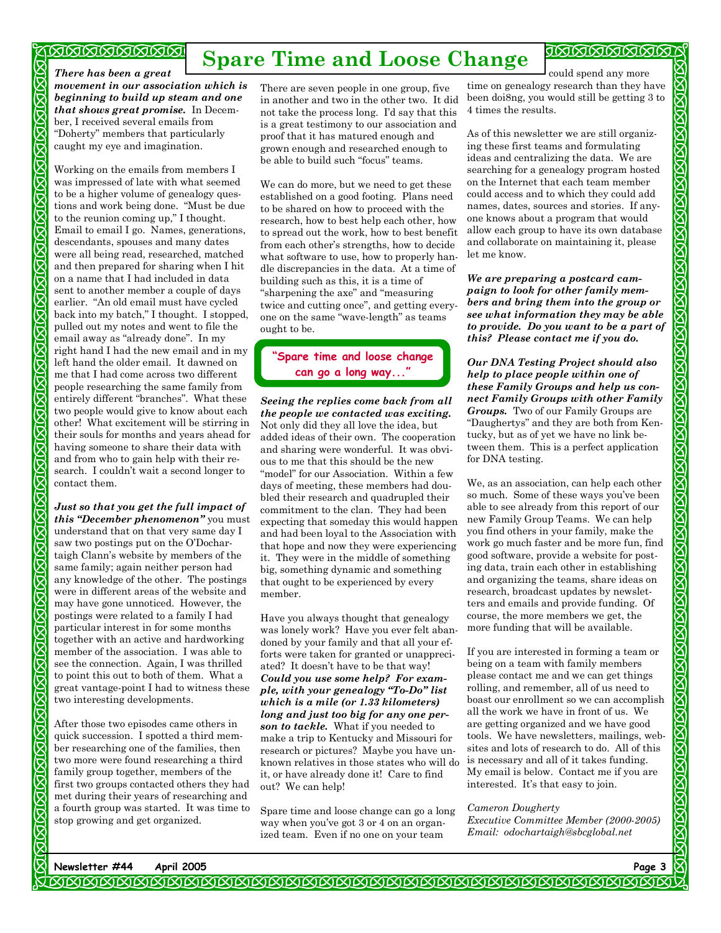#### <u> অনেনেনেনেনেনে</u>

 $\mathbf{\overline{X}}$  $\bar{\mathsf{X}}$ Ŋ  $\boldsymbol{\mathcal{B}}$  $\boldsymbol{\nabla}$  $\mathbf{\nabla}% _{F,F}=\mathbf{\nabla}_{F,F}(\mathbf{X}_{F,F})$  $\boldsymbol{\nabla}$  $\boldsymbol{\nabla}$  $\mathbf{\overline{z}}$  $\mathbf{\overline{X}}$  $\bar{\mathsf{x}}$  $\bar{\mathsf{x}}$ 

 $\boldsymbol{\nabla}$  $\bar{\mathsf{X}}$  $\overline{\mathsf{Z}}$ 区  $\bar{\mathsf{X}}$ 

 $\mathbf{\overline{X}}$ R  $\mathbf{\overline{X}}$  $\bar{\bm{\times}}$  $\boldsymbol{\nabla}$  $\bar{\mathbf{x}}$ 

 $\boldsymbol{\nabla}$  $\mathbf{\overline{X}}$ 

 $\mathbf{\overline{X}}$ 

 $\boldsymbol{\nabla}$  $\bar{\mathsf{X}}$  $\bar{\bm{\times}}$  $\bar{\bm{\times}}$  $\bar{\mathsf{X}}$  $\overline{\mathcal{S}}$  $\mathbf{\overline{X}}$  $\overline{\mathsf{X}}$  $\boldsymbol{\nabla}$  $\mathbf{\overline{X}}$  $\bar{\mathsf{X}}$  $\mathbf{\overline{X}}$  $\overline{\mathcal{S}}$ 

# **Spare Time and Loose Change**

*There has been a great movement in our association which is beginning to build up steam and one that shows great promise.* In December, I received several emails from "Doherty" members that particularly caught my eye and imagination.

Working on the emails from members I was impressed of late with what seemed to be a higher volume of genealogy questions and work being done. "Must be due to the reunion coming up," I thought. Email to email I go. Names, generations, descendants, spouses and many dates were all being read, researched, matched and then prepared for sharing when I hit on a name that I had included in data sent to another member a couple of days earlier. "An old email must have cycled back into my batch," I thought. I stopped, pulled out my notes and went to file the email away as "already done". In my right hand I had the new email and in my left hand the older email. It dawned on me that I had come across two different people researching the same family from entirely different "branches". What these two people would give to know about each other! What excitement will be stirring in their souls for months and years ahead for having someone to share their data with and from who to gain help with their research. I couldn't wait a second longer to contact them.

*Just so that you get the full impact of this "December phenomenon"* you must understand that on that very same day I saw two postings put on the O'Dochartaigh Clann's website by members of the same family; again neither person had any knowledge of the other. The postings were in different areas of the website and may have gone unnoticed. However, the postings were related to a family I had particular interest in for some months together with an active and hardworking member of the association. I was able to see the connection. Again, I was thrilled to point this out to both of them. What a great vantage-point I had to witness these two interesting developments.

After those two episodes came others in quick succession. I spotted a third member researching one of the families, then two more were found researching a third family group together, members of the first two groups contacted others they had met during their years of researching and a fourth group was started. It was time to stop growing and get organized.

There are seven people in one group, five in another and two in the other two. It did not take the process long. I'd say that this is a great testimony to our association and proof that it has matured enough and grown enough and researched enough to be able to build such "focus" teams.

We can do more, but we need to get these established on a good footing. Plans need to be shared on how to proceed with the research, how to best help each other, how to spread out the work, how to best benefit from each other's strengths, how to decide what software to use, how to properly handle discrepancies in the data. At a time of building such as this, it is a time of "sharpening the axe" and "measuring twice and cutting once", and getting everyone on the same "wave-length" as teams ought to be.

### **"Spare time and loose change can go a long way..."**

*Seeing the replies come back from all the people we contacted was exciting.*  Not only did they all love the idea, but added ideas of their own. The cooperation and sharing were wonderful. It was obvious to me that this should be the new "model" for our Association. Within a few days of meeting, these members had doubled their research and quadrupled their commitment to the clan. They had been expecting that someday this would happen and had been loyal to the Association with that hope and now they were experiencing it. They were in the middle of something big, something dynamic and something that ought to be experienced by every member.

Have you always thought that genealogy was lonely work? Have you ever felt abandoned by your family and that all your efforts were taken for granted or unappreciated? It doesn't have to be that way! *Could you use some help? For example, with your genealogy "To-Do" list which is a mile (or 1.33 kilometers) long and just too big for any one person to tackle.* What if you needed to make a trip to Kentucky and Missouri for research or pictures? Maybe you have unknown relatives in those states who will do it, or have already done it! Care to find out? We can help!

Spare time and loose change can go a long way when you've got 3 or 4 on an organized team. Even if no one on your team

could spend any more time on genealogy research than they have been doi8ng, you would still be getting 3 to 4 times the results.

As of this newsletter we are still organizing these first teams and formulating ideas and centralizing the data. We are searching for a genealogy program hosted on the Internet that each team member could access and to which they could add names, dates, sources and stories. If anyone knows about a program that would allow each group to have its own database and collaborate on maintaining it, please let me know.

*We are preparing a postcard campaign to look for other family members and bring them into the group or see what information they may be able to provide. Do you want to be a part of this? Please contact me if you do.* 

*Our DNA Testing Project should also help to place people within one of these Family Groups and help us connect Family Groups with other Family Groups.* Two of our Family Groups are "Daughertys" and they are both from Kentucky, but as of yet we have no link between them. This is a perfect application for DNA testing.

We, as an association, can help each other so much. Some of these ways you've been able to see already from this report of our new Family Group Teams. We can help you find others in your family, make the work go much faster and be more fun, find good software, provide a website for posting data, train each other in establishing and organizing the teams, share ideas on research, broadcast updates by newsletters and emails and provide funding. Of course, the more members we get, the more funding that will be available.

If you are interested in forming a team or being on a team with family members please contact me and we can get things rolling, and remember, all of us need to boast our enrollment so we can accomplish all the work we have in front of us. We are getting organized and we have good tools. We have newsletters, mailings, websites and lots of research to do. All of this is necessary and all of it takes funding. My email is below. Contact me if you are interested. It's that easy to join.

#### *Cameron Dougherty*

*Executive Committee Member (2000-2005) Email: odochartaigh@sbcglobal.net*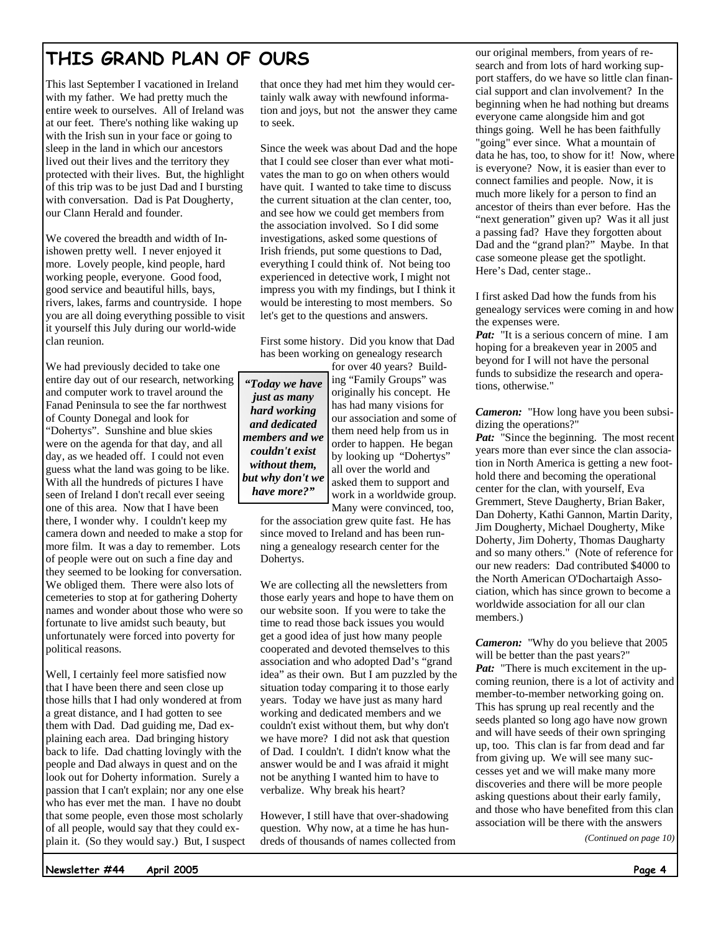# **THIS GRAND PLAN OF OURS**

This last September I vacationed in Ireland with my father. We had pretty much the entire week to ourselves. All of Ireland was at our feet. There's nothing like waking up with the Irish sun in your face or going to sleep in the land in which our ancestors lived out their lives and the territory they protected with their lives. But, the highlight of this trip was to be just Dad and I bursting with conversation. Dad is Pat Dougherty, our Clann Herald and founder.

We covered the breadth and width of Inishowen pretty well. I never enjoyed it more. Lovely people, kind people, hard working people, everyone. Good food, good service and beautiful hills, bays, rivers, lakes, farms and countryside. I hope you are all doing everything possible to visit it yourself this July during our world-wide clan reunion.

We had previously decided to take one entire day out of our research, networking and computer work to travel around the Fanad Peninsula to see the far northwest of County Donegal and look for "Dohertys". Sunshine and blue skies were on the agenda for that day, and all day, as we headed off. I could not even guess what the land was going to be like. With all the hundreds of pictures I have seen of Ireland I don't recall ever seeing one of this area. Now that I have been there, I wonder why. I couldn't keep my camera down and needed to make a stop for more film. It was a day to remember. Lots of people were out on such a fine day and they seemed to be looking for conversation. We obliged them. There were also lots of cemeteries to stop at for gathering Doherty names and wonder about those who were so fortunate to live amidst such beauty, but unfortunately were forced into poverty for political reasons.

Well, I certainly feel more satisfied now that I have been there and seen close up those hills that I had only wondered at from a great distance, and I had gotten to see them with Dad. Dad guiding me, Dad explaining each area. Dad bringing history back to life. Dad chatting lovingly with the people and Dad always in quest and on the look out for Doherty information. Surely a passion that I can't explain; nor any one else who has ever met the man. I have no doubt that some people, even those most scholarly of all people, would say that they could explain it. (So they would say.) But, I suspect that once they had met him they would certainly walk away with newfound information and joys, but not the answer they came to seek.

Since the week was about Dad and the hope that I could see closer than ever what motivates the man to go on when others would have quit. I wanted to take time to discuss the current situation at the clan center, too, and see how we could get members from the association involved. So I did some investigations, asked some questions of Irish friends, put some questions to Dad, everything I could think of. Not being too experienced in detective work, I might not impress you with my findings, but I think it would be interesting to most members. So let's get to the questions and answers.

First some history. Did you know that Dad has been working on genealogy research

*"Today we have just as many hard working and dedicated members and we couldn't exist without them, but why don't we have more?"*

for over 40 years? Building "Family Groups" was originally his concept. He has had many visions for our association and some of them need help from us in order to happen. He began by looking up "Dohertys" all over the world and asked them to support and work in a worldwide group. Many were convinced, too,

for the association grew quite fast. He has since moved to Ireland and has been running a genealogy research center for the Dohertys.

We are collecting all the newsletters from those early years and hope to have them on our website soon. If you were to take the time to read those back issues you would get a good idea of just how many people cooperated and devoted themselves to this association and who adopted Dad's "grand idea" as their own. But I am puzzled by the situation today comparing it to those early years. Today we have just as many hard working and dedicated members and we couldn't exist without them, but why don't we have more? I did not ask that question of Dad. I couldn't. I didn't know what the answer would be and I was afraid it might not be anything I wanted him to have to verbalize. Why break his heart?

However, I still have that over-shadowing question. Why now, at a time he has hundreds of thousands of names collected from our original members, from years of research and from lots of hard working support staffers, do we have so little clan financial support and clan involvement? In the beginning when he had nothing but dreams everyone came alongside him and got things going. Well he has been faithfully "going" ever since. What a mountain of data he has, too, to show for it! Now, where is everyone? Now, it is easier than ever to connect families and people. Now, it is much more likely for a person to find an ancestor of theirs than ever before. Has the "next generation" given up? Was it all just a passing fad? Have they forgotten about Dad and the "grand plan?" Maybe. In that case someone please get the spotlight. Here's Dad, center stage..

I first asked Dad how the funds from his genealogy services were coming in and how the expenses were.

*Pat:* "It is a serious concern of mine. I am hoping for a breakeven year in 2005 and beyond for I will not have the personal funds to subsidize the research and operations, otherwise."

*Cameron:* "How long have you been subsidizing the operations?"

*Pat:* "Since the beginning. The most recent years more than ever since the clan association in North America is getting a new foothold there and becoming the operational center for the clan, with yourself, Eva Gremmert, Steve Daugherty, Brian Baker, Dan Doherty, Kathi Gannon, Martin Darity, Jim Dougherty, Michael Dougherty, Mike Doherty, Jim Doherty, Thomas Daugharty and so many others." (Note of reference for our new readers: Dad contributed \$4000 to the North American O'Dochartaigh Association, which has since grown to become a worldwide association for all our clan members.)

*Cameron:* "Why do you believe that 2005 will be better than the past years?" *Pat:* "There is much excitement in the upcoming reunion, there is a lot of activity and member-to-member networking going on. This has sprung up real recently and the seeds planted so long ago have now grown and will have seeds of their own springing up, too. This clan is far from dead and far from giving up. We will see many successes yet and we will make many more discoveries and there will be more people asking questions about their early family, and those who have benefited from this clan association will be there with the answers

*(Continued on page 10)* 

**Newsletter #44 April 2005**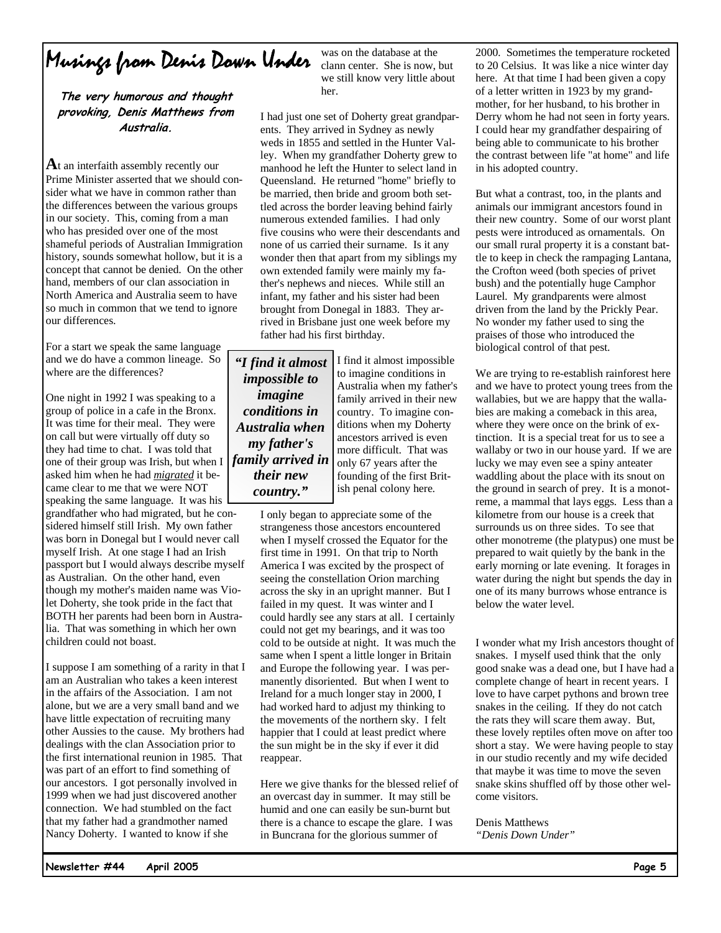# Musings from Denis Down Under

**The very humorous and thought provoking, Denis Matthews from Australia.**

**A**t an interfaith assembly recently our Prime Minister asserted that we should consider what we have in common rather than the differences between the various groups in our society. This, coming from a man who has presided over one of the most shameful periods of Australian Immigration history, sounds somewhat hollow, but it is a concept that cannot be denied. On the other hand, members of our clan association in North America and Australia seem to have so much in common that we tend to ignore our differences.

For a start we speak the same language and we do have a common lineage. So where are the differences?

One night in 1992 I was speaking to a group of police in a cafe in the Bronx. It was time for their meal. They were on call but were virtually off duty so they had time to chat. I was told that one of their group was Irish, but when I asked him when he had *migrated* it became clear to me that we were NOT speaking the same language. It was his grandfather who had migrated, but he considered himself still Irish. My own father was born in Donegal but I would never call myself Irish. At one stage I had an Irish passport but I would always describe myself as Australian. On the other hand, even though my mother's maiden name was Violet Doherty, she took pride in the fact that BOTH her parents had been born in Australia. That was something in which her own children could not boast.

I suppose I am something of a rarity in that I am an Australian who takes a keen interest in the affairs of the Association. I am not alone, but we are a very small band and we have little expectation of recruiting many other Aussies to the cause. My brothers had dealings with the clan Association prior to the first international reunion in 1985. That was part of an effort to find something of our ancestors. I got personally involved in 1999 when we had just discovered another connection. We had stumbled on the fact that my father had a grandmother named Nancy Doherty. I wanted to know if she

was on the database at the clann center. She is now, but we still know very little about her.

I had just one set of Doherty great grandparents. They arrived in Sydney as newly weds in 1855 and settled in the Hunter Valley. When my grandfather Doherty grew to manhood he left the Hunter to select land in Queensland. He returned "home" briefly to be married, then bride and groom both settled across the border leaving behind fairly numerous extended families. I had only five cousins who were their descendants and none of us carried their surname. Is it any wonder then that apart from my siblings my own extended family were mainly my father's nephews and nieces. While still an infant, my father and his sister had been brought from Donegal in 1883. They arrived in Brisbane just one week before my father had his first birthday.

*"I find it almost impossible to imagine conditions in Australia when my father's family arrived in their new country."*

I find it almost impossible to imagine conditions in Australia when my father's family arrived in their new country. To imagine conditions when my Doherty ancestors arrived is even more difficult. That was only 67 years after the founding of the first British penal colony here.

I only began to appreciate some of the strangeness those ancestors encountered when I myself crossed the Equator for the first time in 1991. On that trip to North America I was excited by the prospect of seeing the constellation Orion marching across the sky in an upright manner. But I failed in my quest. It was winter and I could hardly see any stars at all. I certainly could not get my bearings, and it was too cold to be outside at night. It was much the same when I spent a little longer in Britain and Europe the following year. I was permanently disoriented. But when I went to Ireland for a much longer stay in 2000, I had worked hard to adjust my thinking to the movements of the northern sky. I felt happier that I could at least predict where the sun might be in the sky if ever it did reappear.

Here we give thanks for the blessed relief of an overcast day in summer. It may still be humid and one can easily be sun-burnt but there is a chance to escape the glare. I was in Buncrana for the glorious summer of

2000. Sometimes the temperature rocketed to 20 Celsius. It was like a nice winter day here. At that time I had been given a copy of a letter written in 1923 by my grandmother, for her husband, to his brother in Derry whom he had not seen in forty years. I could hear my grandfather despairing of being able to communicate to his brother the contrast between life "at home" and life in his adopted country.

But what a contrast, too, in the plants and animals our immigrant ancestors found in their new country. Some of our worst plant pests were introduced as ornamentals. On our small rural property it is a constant battle to keep in check the rampaging Lantana, the Crofton weed (both species of privet bush) and the potentially huge Camphor Laurel. My grandparents were almost driven from the land by the Prickly Pear. No wonder my father used to sing the praises of those who introduced the biological control of that pest.

We are trying to re-establish rainforest here and we have to protect young trees from the wallabies, but we are happy that the wallabies are making a comeback in this area, where they were once on the brink of extinction. It is a special treat for us to see a wallaby or two in our house yard. If we are lucky we may even see a spiny anteater waddling about the place with its snout on the ground in search of prey. It is a monotreme, a mammal that lays eggs. Less than a kilometre from our house is a creek that surrounds us on three sides. To see that other monotreme (the platypus) one must be prepared to wait quietly by the bank in the early morning or late evening. It forages in water during the night but spends the day in one of its many burrows whose entrance is below the water level.

I wonder what my Irish ancestors thought of snakes. I myself used think that the only good snake was a dead one, but I have had a complete change of heart in recent years. I love to have carpet pythons and brown tree snakes in the ceiling. If they do not catch the rats they will scare them away. But, these lovely reptiles often move on after too short a stay. We were having people to stay in our studio recently and my wife decided that maybe it was time to move the seven snake skins shuffled off by those other welcome visitors.

#### Denis Matthews

*"Denis Down Under"*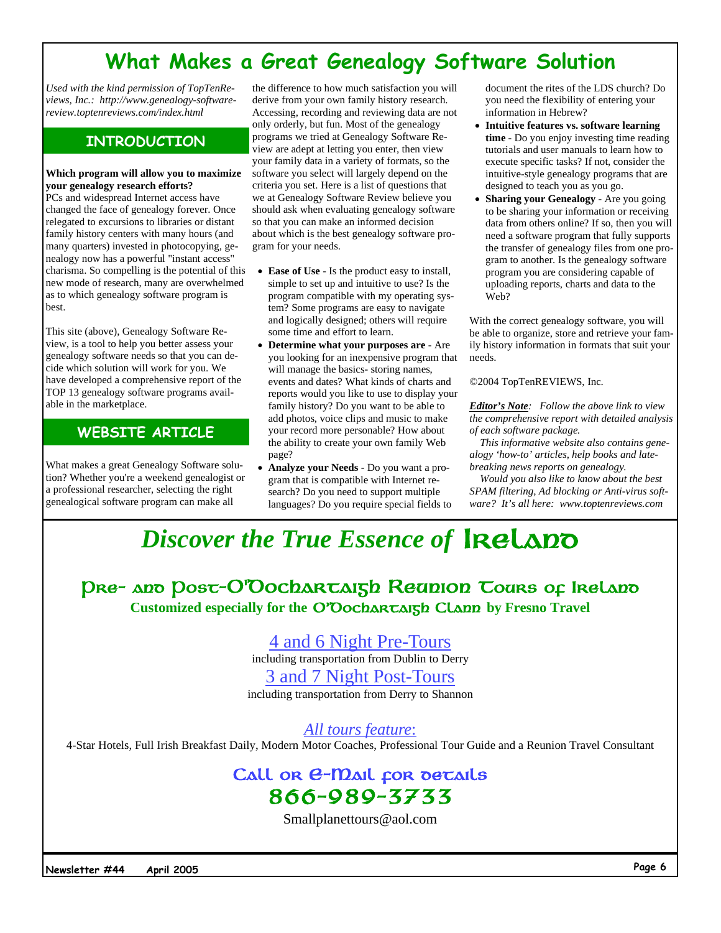# **What Makes a Great Genealogy Software Solution**

*Used with the kind permission of TopTenReviews, Inc.: http://www.genealogy-softwarereview.toptenreviews.com/index.html* 

### **INTRODUCTION**

#### **Which program will allow you to maximize your genealogy research efforts?**

PCs and widespread Internet access have changed the face of genealogy forever. Once relegated to excursions to libraries or distant family history centers with many hours (and many quarters) invested in photocopying, genealogy now has a powerful "instant access" charisma. So compelling is the potential of this new mode of research, many are overwhelmed as to which genealogy software program is best.

This site (above), Genealogy Software Review, is a tool to help you better assess your genealogy software needs so that you can decide which solution will work for you. We have developed a comprehensive report of the TOP 13 genealogy software programs available in the marketplace.

### **WEBSITE ARTICLE**

What makes a great Genealogy Software solution? Whether you're a weekend genealogist or a professional researcher, selecting the right genealogical software program can make all

the difference to how much satisfaction you will derive from your own family history research. Accessing, recording and reviewing data are not only orderly, but fun. Most of the genealogy programs we tried at Genealogy Software Review are adept at letting you enter, then view your family data in a variety of formats, so the software you select will largely depend on the criteria you set. Here is a list of questions that we at Genealogy Software Review believe you should ask when evaluating genealogy software so that you can make an informed decision about which is the best genealogy software program for your needs.

- **Ease of Use** Is the product easy to install, simple to set up and intuitive to use? Is the program compatible with my operating system? Some programs are easy to navigate and logically designed; others will require some time and effort to learn.
- **Determine what your purposes are** Are you looking for an inexpensive program that will manage the basics- storing names, events and dates? What kinds of charts and reports would you like to use to display your family history? Do you want to be able to add photos, voice clips and music to make your record more personable? How about the ability to create your own family Web page?
- **Analyze your Needs**  Do you want a program that is compatible with Internet research? Do you need to support multiple languages? Do you require special fields to

document the rites of the LDS church? Do you need the flexibility of entering your information in Hebrew?

- **Intuitive features vs. software learning time** - Do you enjoy investing time reading tutorials and user manuals to learn how to execute specific tasks? If not, consider the intuitive-style genealogy programs that are designed to teach you as you go.
- **Sharing your Genealogy** Are you going to be sharing your information or receiving data from others online? If so, then you will need a software program that fully supports the transfer of genealogy files from one program to another. Is the genealogy software program you are considering capable of uploading reports, charts and data to the Web?

With the correct genealogy software, you will be able to organize, store and retrieve your family history information in formats that suit your needs.

©2004 TopTenREVIEWS, Inc.

*Editor's Note: Follow the above link to view the comprehensive report with detailed analysis of each software package.* 

*This informative website also contains genealogy 'how-to' articles, help books and latebreaking news reports on genealogy.* 

*Would you also like to know about the best SPAM filtering, Ad blocking or Anti-virus software? It's all here: www.toptenreviews.com* 

# *Discover the True Essence of* IRELADO

Pre− and Post−O'Dochartaigh Reunion Tours of Ireland **Customized especially for the** O'Dochartaigh Clann **by Fresno Travel**

4 and 6 Night Pre-Tours

including transportation from Dublin to Derry

3 and 7 Night Post-Tours

including transportation from Derry to Shannon

*All tours feature*:

4-Star Hotels, Full Irish Breakfast Daily, Modern Motor Coaches, Professional Tour Guide and a Reunion Travel Consultant

### Call or *e*−mail for details 866−989−3733

Smallplanettours@aol.com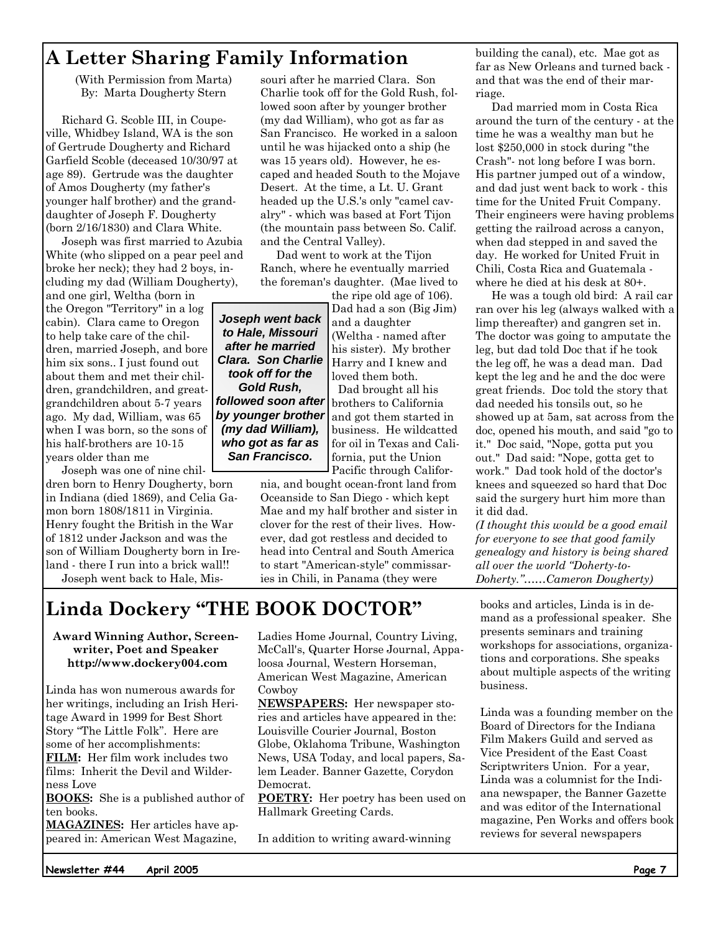## **A Letter Sharing Family Information**

(With Permission from Marta) By: Marta Dougherty Stern

Richard G. Scoble III, in Coupeville, Whidbey Island, WA is the son of Gertrude Dougherty and Richard Garfield Scoble (deceased 10/30/97 at age 89). Gertrude was the daughter of Amos Dougherty (my father's younger half brother) and the granddaughter of Joseph F. Dougherty (born 2/16/1830) and Clara White.

Joseph was first married to Azubia White (who slipped on a pear peel and broke her neck); they had 2 boys, including my dad (William Dougherty),

and one girl, Weltha (born in the Oregon "Territory" in a log cabin). Clara came to Oregon to help take care of the children, married Joseph, and bore him six sons.. I just found out about them and met their children, grandchildren, and greatgrandchildren about 5-7 years ago. My dad, William, was 65 when I was born, so the sons of his half-brothers are 10-15 years older than me

Joseph was one of nine children born to Henry Dougherty, born in Indiana (died 1869), and Celia Gamon born 1808/1811 in Virginia. Henry fought the British in the War of 1812 under Jackson and was the son of William Dougherty born in Ireland - there I run into a brick wall!! Joseph went back to Hale, Missouri after he married Clara. Son Charlie took off for the Gold Rush, followed soon after by younger brother (my dad William), who got as far as San Francisco. He worked in a saloon until he was hijacked onto a ship (he was 15 years old). However, he escaped and headed South to the Mojave Desert. At the time, a Lt. U. Grant headed up the U.S.'s only "camel cavalry" - which was based at Fort Tijon (the mountain pass between So. Calif. and the Central Valley).

Dad went to work at the Tijon Ranch, where he eventually married the foreman's daughter. (Mae lived to

the ripe old age of 106). Dad had a son (Big Jim) and a daughter (Weltha - named after his sister). My brother Harry and I knew and loved them both. Dad brought all his brothers to California *Joseph went back to Hale, Missouri after he married Clara. Son Charlie took off for the Gold Rush, followed soon after by younger brother* 

and got them started in business. He wildcatted for oil in Texas and California, put the Union Pacific through Califor-

nia, and bought ocean-front land from Oceanside to San Diego - which kept Mae and my half brother and sister in clover for the rest of their lives. However, dad got restless and decided to head into Central and South America to start "American-style" commissaries in Chili, in Panama (they were

# **Linda Dockery "THE BOOK DOCTOR"**

*(my dad William), who got as far as San Francisco.*

**Award Winning Author, Screenwriter, Poet and Speaker http://www.dockery004.com** 

Linda has won numerous awards for her writings, including an Irish Heritage Award in 1999 for Best Short Story "The Little Folk". Here are some of her accomplishments:

**FILM:** Her film work includes two films: Inherit the Devil and Wilderness Love

**BOOKS:** She is a published author of ten books.

**MAGAZINES:** Her articles have appeared in: American West Magazine,

Ladies Home Journal, Country Living, McCall's, Quarter Horse Journal, Appaloosa Journal, Western Horseman, American West Magazine, American Cowboy

**NEWSPAPERS:** Her newspaper stories and articles have appeared in the: Louisville Courier Journal, Boston Globe, Oklahoma Tribune, Washington News, USA Today, and local papers, Salem Leader. Banner Gazette, Corydon Democrat.

**POETRY:** Her poetry has been used on Hallmark Greeting Cards.

In addition to writing award-winning

building the canal), etc. Mae got as far as New Orleans and turned back and that was the end of their marriage.

Dad married mom in Costa Rica around the turn of the century - at the time he was a wealthy man but he lost \$250,000 in stock during "the Crash"- not long before I was born. His partner jumped out of a window, and dad just went back to work - this time for the United Fruit Company. Their engineers were having problems getting the railroad across a canyon, when dad stepped in and saved the day. He worked for United Fruit in Chili, Costa Rica and Guatemala where he died at his desk at 80+.

He was a tough old bird: A rail car ran over his leg (always walked with a limp thereafter) and gangren set in. The doctor was going to amputate the leg, but dad told Doc that if he took the leg off, he was a dead man. Dad kept the leg and he and the doc were great friends. Doc told the story that dad needed his tonsils out, so he showed up at 5am, sat across from the doc, opened his mouth, and said "go to it." Doc said, "Nope, gotta put you out." Dad said: "Nope, gotta get to work." Dad took hold of the doctor's knees and squeezed so hard that Doc said the surgery hurt him more than it did dad.

*(I thought this would be a good email for everyone to see that good family genealogy and history is being shared all over the world "Doherty-to-Doherty."……Cameron Dougherty)* 

books and articles, Linda is in demand as a professional speaker. She presents seminars and training workshops for associations, organizations and corporations. She speaks about multiple aspects of the writing business.

Linda was a founding member on the Board of Directors for the Indiana Film Makers Guild and served as Vice President of the East Coast Scriptwriters Union. For a year, Linda was a columnist for the Indiana newspaper, the Banner Gazette and was editor of the International magazine, Pen Works and offers book reviews for several newspapers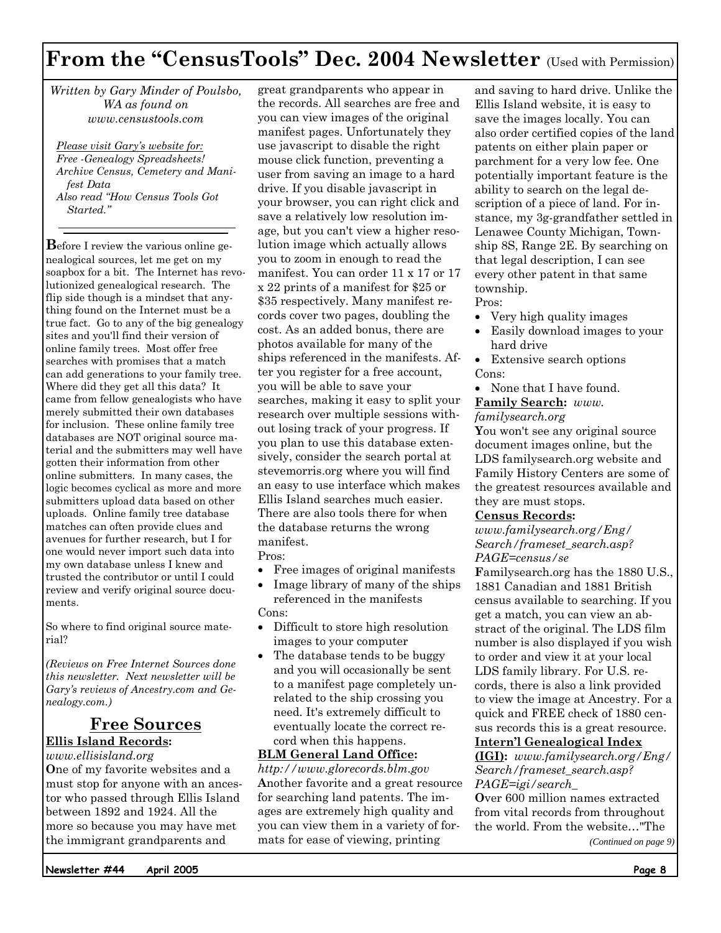# **From the "CensusTools" Dec. 2004 Newsletter** (Used with Permission)

*Written by Gary Minder of Poulsbo, WA as found on www.censustools.com* 

*Please visit Gary's website for: Free -Genealogy Spreadsheets! Archive Census, Cemetery and Manifest Data Also read "How Census Tools Got Started."* 

**B**efore I review the various online genealogical sources, let me get on my soapbox for a bit. The Internet has revolutionized genealogical research. The flip side though is a mindset that anything found on the Internet must be a true fact. Go to any of the big genealogy sites and you'll find their version of online family trees. Most offer free searches with promises that a match can add generations to your family tree. Where did they get all this data? It came from fellow genealogists who have merely submitted their own databases for inclusion. These online family tree databases are NOT original source material and the submitters may well have gotten their information from other online submitters. In many cases, the logic becomes cyclical as more and more submitters upload data based on other uploads. Online family tree database matches can often provide clues and avenues for further research, but I for one would never import such data into my own database unless I knew and trusted the contributor or until I could review and verify original source documents.

So where to find original source material?

*(Reviews on Free Internet Sources done this newsletter. Next newsletter will be Gary's reviews of Ancestry.com and Genealogy.com.)* 

### **Free Sources**

### **Ellis Island Records:**

*www.ellisisland.org* **O**ne of my favorite websites and a must stop for anyone with an ancestor who passed through Ellis Island between 1892 and 1924. All the more so because you may have met the immigrant grandparents and

great grandparents who appear in the records. All searches are free and you can view images of the original manifest pages. Unfortunately they use javascript to disable the right mouse click function, preventing a user from saving an image to a hard drive. If you disable javascript in your browser, you can right click and save a relatively low resolution image, but you can't view a higher resolution image which actually allows you to zoom in enough to read the manifest. You can order 11 x 17 or 17 x 22 prints of a manifest for \$25 or \$35 respectively. Many manifest records cover two pages, doubling the cost. As an added bonus, there are photos available for many of the ships referenced in the manifests. After you register for a free account, you will be able to save your searches, making it easy to split your research over multiple sessions without losing track of your progress. If you plan to use this database extensively, consider the search portal at stevemorris.org where you will find an easy to use interface which makes Ellis Island searches much easier. There are also tools there for when the database returns the wrong manifest. Pros:

- Free images of original manifests
- Image library of many of the ships referenced in the manifests Cons:
- Difficult to store high resolution images to your computer
- The database tends to be buggy and you will occasionally be sent to a manifest page completely unrelated to the ship crossing you need. It's extremely difficult to eventually locate the correct record when this happens.

#### **BLM General Land Office:**

*http://www.glorecords.blm.gov* **A**nother favorite and a great resource for searching land patents. The images are extremely high quality and you can view them in a variety of formats for ease of viewing, printing

and saving to hard drive. Unlike the Ellis Island website, it is easy to save the images locally. You can also order certified copies of the land patents on either plain paper or parchment for a very low fee. One potentially important feature is the ability to search on the legal description of a piece of land. For instance, my 3g-grandfather settled in Lenawee County Michigan, Township 8S, Range 2E. By searching on that legal description, I can see every other patent in that same township. Pros:

- Very high quality images
- Easily download images to your hard drive
- Extensive search options Cons:
- None that I have found. **Family Search:** *www.*

#### *familysearch.org*

**Y**ou won't see any original source document images online, but the LDS familysearch.org website and Family History Centers are some of the greatest resources available and they are must stops.

#### **Census Records:**

*www.familysearch.org/Eng/ Search/frameset\_search.asp? PAGE=census/se*

**F**amilysearch.org has the 1880 U.S., 1881 Canadian and 1881 British census available to searching. If you get a match, you can view an abstract of the original. The LDS film number is also displayed if you wish to order and view it at your local LDS family library. For U.S. records, there is also a link provided to view the image at Ancestry. For a quick and FREE check of 1880 census records this is a great resource.

### **Intern'l Genealogical Index**

**(IGI):** *www.familysearch.org/Eng/ Search/frameset\_search.asp? PAGE=igi/search\_*

**O**ver 600 million names extracted from vital records from throughout the world. From the website…"The

*(Continued on page 9)* 

**Newsletter #44 April 2005**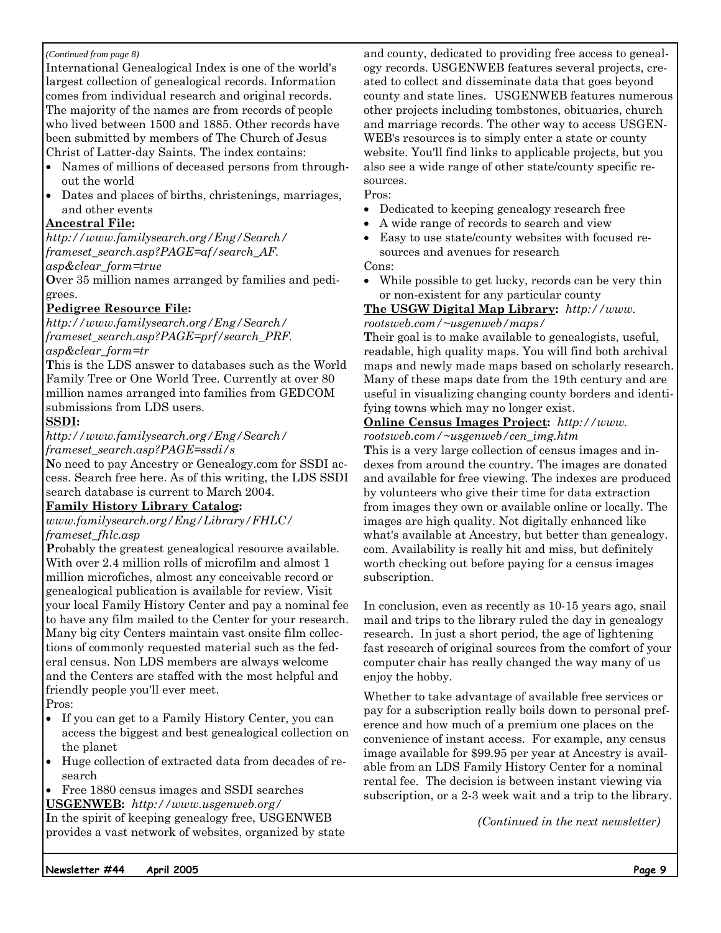#### *(Continued from page 8)*

International Genealogical Index is one of the world's largest collection of genealogical records. Information comes from individual research and original records. The majority of the names are from records of people who lived between 1500 and 1885. Other records have been submitted by members of The Church of Jesus Christ of Latter-day Saints. The index contains:

- Names of millions of deceased persons from throughout the world
- Dates and places of births, christenings, marriages, and other events

#### **Ancestral File:**

*http://www.familysearch.org/Eng/Search/ frameset\_search.asp?PAGE=af/search\_AF.*

*asp&clear\_form=true* 

**O**ver 35 million names arranged by families and pedigrees.

#### **Pedigree Resource File:**

*http://www.familysearch.org/Eng/Search/ frameset\_search.asp?PAGE=prf/search\_PRF. asp&clear\_form=tr* 

**T**his is the LDS answer to databases such as the World Family Tree or One World Tree. Currently at over 80 million names arranged into families from GEDCOM submissions from LDS users.

#### **SSDI:**

*http://www.familysearch.org/Eng/Search/ frameset\_search.asp?PAGE=ssdi/s* 

**N**o need to pay Ancestry or Genealogy.com for SSDI access. Search free here. As of this writing, the LDS SSDI search database is current to March 2004.

#### **Family History Library Catalog:**

*www.familysearch.org/Eng/Library/FHLC/ frameset\_fhlc.asp*

**P**robably the greatest genealogical resource available. With over 2.4 million rolls of microfilm and almost 1 million microfiches, almost any conceivable record or genealogical publication is available for review. Visit your local Family History Center and pay a nominal fee to have any film mailed to the Center for your research. Many big city Centers maintain vast onsite film collections of commonly requested material such as the federal census. Non LDS members are always welcome and the Centers are staffed with the most helpful and friendly people you'll ever meet.

Pros:

- If you can get to a Family History Center, you can access the biggest and best genealogical collection on the planet
- Huge collection of extracted data from decades of research
- Free 1880 census images and SSDI searches

**USGENWEB:** *http://www.usgenweb.org/* **I**n the spirit of keeping genealogy free, USGENWEB provides a vast network of websites, organized by state and county, dedicated to providing free access to genealogy records. USGENWEB features several projects, created to collect and disseminate data that goes beyond county and state lines. USGENWEB features numerous other projects including tombstones, obituaries, church and marriage records. The other way to access USGEN-WEB's resources is to simply enter a state or county website. You'll find links to applicable projects, but you also see a wide range of other state/county specific resources.

#### Pros:

- Dedicated to keeping genealogy research free
- A wide range of records to search and view
- Easy to use state/county websites with focused resources and avenues for research

Cons:

• While possible to get lucky, records can be very thin or non-existent for any particular county

#### **The USGW Digital Map Library:** *http://www. rootsweb.com/~usgenweb/maps/*

**T**heir goal is to make available to genealogists, useful, readable, high quality maps. You will find both archival maps and newly made maps based on scholarly research. Many of these maps date from the 19th century and are useful in visualizing changing county borders and identifying towns which may no longer exist.

#### **Online Census Images Project:** *http://www. rootsweb.com/~usgenweb/cen\_img.htm*

**T**his is a very large collection of census images and indexes from around the country. The images are donated and available for free viewing. The indexes are produced by volunteers who give their time for data extraction from images they own or available online or locally. The images are high quality. Not digitally enhanced like what's available at Ancestry, but better than genealogy. com. Availability is really hit and miss, but definitely worth checking out before paying for a census images subscription.

In conclusion, even as recently as 10-15 years ago, snail mail and trips to the library ruled the day in genealogy research. In just a short period, the age of lightening fast research of original sources from the comfort of your computer chair has really changed the way many of us enjoy the hobby.

Whether to take advantage of available free services or pay for a subscription really boils down to personal preference and how much of a premium one places on the convenience of instant access. For example, any census image available for \$99.95 per year at Ancestry is available from an LDS Family History Center for a nominal rental fee. The decision is between instant viewing via subscription, or a 2-3 week wait and a trip to the library.

*(Continued in the next newsletter)*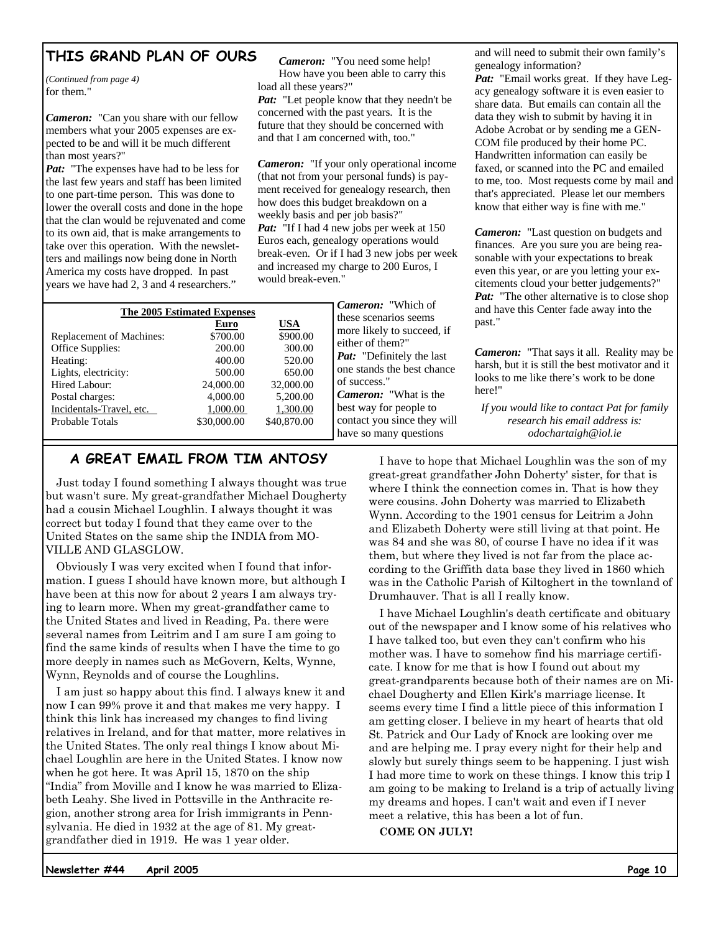### **THIS GRAND PLAN OF OURS**

*(Continued from page 4)*  for them."

*Cameron:* "Can you share with our fellow members what your 2005 expenses are expected to be and will it be much different than most years?"

*Pat:* "The expenses have had to be less for the last few years and staff has been limited to one part-time person. This was done to lower the overall costs and done in the hope that the clan would be rejuvenated and come to its own aid, that is make arrangements to take over this operation. With the newsletters and mailings now being done in North America my costs have dropped. In past years we have had 2, 3 and 4 researchers."

*Cameron:* "You need some help! How have you been able to carry this load all these years?"

*Pat:* "Let people know that they needn't be concerned with the past years. It is the future that they should be concerned with and that I am concerned with, too."

*Cameron:* "If your only operational income (that not from your personal funds) is payment received for genealogy research, then how does this budget breakdown on a weekly basis and per job basis?" Pat: "If I had 4 new jobs per week at 150 Euros each, genealogy operations would break-even. Or if I had 3 new jobs per week and increased my charge to 200 Euros, I would break-even."

| The 2005 Estimated Expenses     |             |             |  |  |  |  |  |
|---------------------------------|-------------|-------------|--|--|--|--|--|
|                                 | Euro        | USA         |  |  |  |  |  |
| <b>Replacement of Machines:</b> | \$700.00    | \$900.00    |  |  |  |  |  |
| Office Supplies:                | 200.00      | 300.00      |  |  |  |  |  |
| Heating:                        | 400.00      | 520.00      |  |  |  |  |  |
| Lights, electricity:            | 500.00      | 650.00      |  |  |  |  |  |
| Hired Labour:                   | 24,000.00   | 32,000.00   |  |  |  |  |  |
| Postal charges:                 | 4,000.00    | 5,200.00    |  |  |  |  |  |
| Incidentals-Travel, etc.        | 1,000.00    | 1,300.00    |  |  |  |  |  |
| Probable Totals                 | \$30,000.00 | \$40,870.00 |  |  |  |  |  |
|                                 |             |             |  |  |  |  |  |

### **A GREAT EMAIL FROM TIM ANTOSY**

Just today I found something I always thought was true but wasn't sure. My great-grandfather Michael Dougherty had a cousin Michael Loughlin. I always thought it was correct but today I found that they came over to the United States on the same ship the INDIA from MO-VILLE AND GLASGLOW.

Obviously I was very excited when I found that information. I guess I should have known more, but although I have been at this now for about 2 years I am always trying to learn more. When my great-grandfather came to the United States and lived in Reading, Pa. there were several names from Leitrim and I am sure I am going to find the same kinds of results when I have the time to go more deeply in names such as McGovern, Kelts, Wynne, Wynn, Reynolds and of course the Loughlins.

I am just so happy about this find. I always knew it and now I can 99% prove it and that makes me very happy. I think this link has increased my changes to find living relatives in Ireland, and for that matter, more relatives in the United States. The only real things I know about Michael Loughlin are here in the United States. I know now when he got here. It was April 15, 1870 on the ship "India" from Moville and I know he was married to Elizabeth Leahy. She lived in Pottsville in the Anthracite region, another strong area for Irish immigrants in Pennsylvania. He died in 1932 at the age of 81. My greatgrandfather died in 1919. He was 1 year older.

*Cameron:* "Which of these scenarios seems more likely to succeed, if either of them?" *Pat:* "Definitely the last one stands the best chance of success." *Cameron:* "What is the best way for people to contact you since they will have so many questions

and will need to submit their own family's genealogy information?

Pat: "Email works great. If they have Legacy genealogy software it is even easier to share data. But emails can contain all the data they wish to submit by having it in Adobe Acrobat or by sending me a GEN-COM file produced by their home PC. Handwritten information can easily be faxed, or scanned into the PC and emailed to me, too. Most requests come by mail and that's appreciated. Please let our members know that either way is fine with me."

*Cameron:* "Last question on budgets and finances. Are you sure you are being reasonable with your expectations to break even this year, or are you letting your excitements cloud your better judgements?" *Pat:* "The other alternative is to close shop and have this Center fade away into the past."

*Cameron:* "That says it all. Reality may be harsh, but it is still the best motivator and it looks to me like there's work to be done here!"

*If you would like to contact Pat for family research his email address is: odochartaigh@iol.ie* 

I have to hope that Michael Loughlin was the son of my great-great grandfather John Doherty' sister, for that is where I think the connection comes in. That is how they were cousins. John Doherty was married to Elizabeth Wynn. According to the 1901 census for Leitrim a John and Elizabeth Doherty were still living at that point. He was 84 and she was 80, of course I have no idea if it was them, but where they lived is not far from the place according to the Griffith data base they lived in 1860 which was in the Catholic Parish of Kiltoghert in the townland of Drumhauver. That is all I really know.

I have Michael Loughlin's death certificate and obituary out of the newspaper and I know some of his relatives who I have talked too, but even they can't confirm who his mother was. I have to somehow find his marriage certificate. I know for me that is how I found out about my great-grandparents because both of their names are on Michael Dougherty and Ellen Kirk's marriage license. It seems every time I find a little piece of this information I am getting closer. I believe in my heart of hearts that old St. Patrick and Our Lady of Knock are looking over me and are helping me. I pray every night for their help and slowly but surely things seem to be happening. I just wish I had more time to work on these things. I know this trip I am going to be making to Ireland is a trip of actually living my dreams and hopes. I can't wait and even if I never meet a relative, this has been a lot of fun.

**COME ON JULY!** 

**Newsletter #44 April 2005**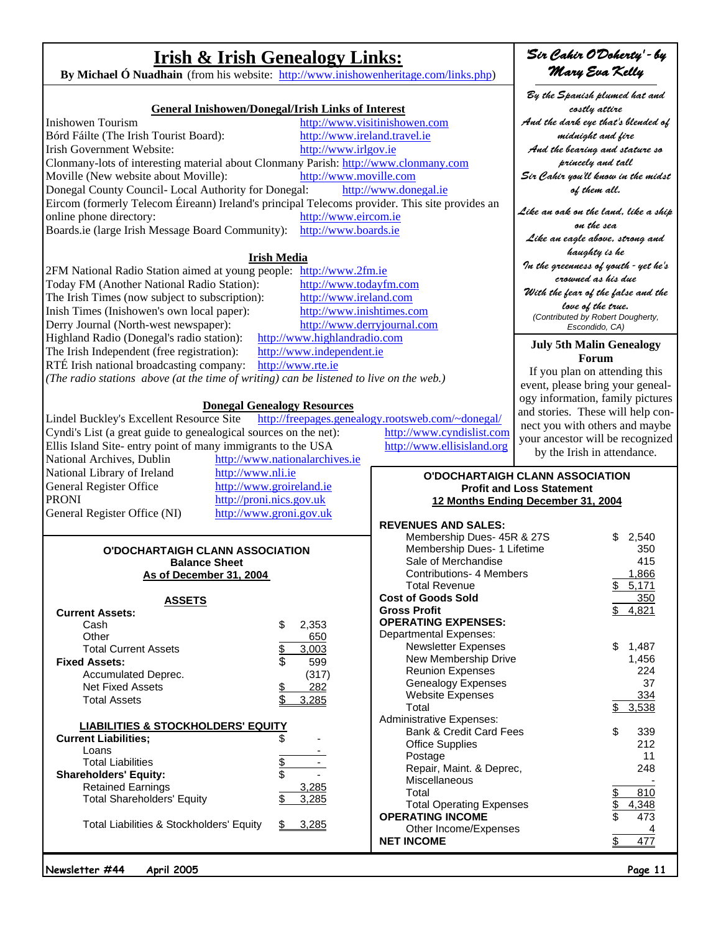**Irish & Irish Genealogy Links:** By Michael Ó Nuadhain (from his website: http://www.inishowenheritage.com/links.php)

|                                                                                                |                                    |                                                          | By the Spanish plumed hat and       |    |
|------------------------------------------------------------------------------------------------|------------------------------------|----------------------------------------------------------|-------------------------------------|----|
| <b>General Inishowen/Donegal/Irish Links of Interest</b>                                       |                                    |                                                          | costly attire                       |    |
| <b>Inishowen Tourism</b>                                                                       |                                    | http://www.visitinishowen.com                            | And the dark eye that's blended o   |    |
| Bórd Fáilte (The Irish Tourist Board):                                                         | http://www.ireland.travel.ie       |                                                          | midnight and fire                   |    |
| Irish Government Website:                                                                      | http://www.irlgov.ie               |                                                          | And the bearing and stature so      |    |
| Clonmany-lots of interesting material about Clonmany Parish: http://www.clonmany.com           |                                    |                                                          | princely and tall                   |    |
| Moville (New website about Moville):                                                           | http://www.moville.com             |                                                          | Sir Cahir you'll know in the mids   |    |
| Donegal County Council- Local Authority for Donegal:                                           |                                    | http://www.donegal.ie                                    | of them all.                        |    |
| Eircom (formerly Telecom Éireann) Ireland's principal Telecoms provider. This site provides an |                                    |                                                          |                                     |    |
| online phone directory:                                                                        | http://www.eircom.ie               |                                                          | Like an oak on the land, like a shi |    |
| Boards.ie (large Irish Message Board Community):                                               | http://www.boards.ie               |                                                          | on the sea                          |    |
|                                                                                                |                                    |                                                          | Like an eagle above, strong and     |    |
|                                                                                                | <b>Irish Media</b>                 |                                                          | haughty is he                       |    |
| 2FM National Radio Station aimed at young people: http://www.2fm.ie                            |                                    |                                                          | In the greenness of youth - yet he' |    |
| Today FM (Another National Radio Station):                                                     | http://www.todayfm.com             |                                                          | crowned as his due                  |    |
| The Irish Times (now subject to subscription):                                                 | http://www.ireland.com             |                                                          | With the fear of the false and the  |    |
| Inish Times (Inishowen's own local paper):                                                     | http://www.inishtimes.com          |                                                          | love of the true.                   |    |
| Derry Journal (North-west newspaper):                                                          | http://www.derryjournal.com        |                                                          | (Contributed by Robert Dougherty,   |    |
| Highland Radio (Donegal's radio station):                                                      | http://www.highlandradio.com       |                                                          | Escondido, CA)                      |    |
| The Irish Independent (free registration):                                                     | http://www.independent.ie          |                                                          | <b>July 5th Malin Genealogy</b>     |    |
| RTÉ Irish national broadcasting company:                                                       | http://www.rte.ie                  |                                                          | Forum                               |    |
|                                                                                                |                                    |                                                          | If you plan on attending this       |    |
| (The radio stations above (at the time of writing) can be listened to live on the web.)        |                                    |                                                          | event, please bring your geneal     |    |
|                                                                                                |                                    |                                                          | ogy information, family picture     |    |
|                                                                                                | <b>Donegal Genealogy Resources</b> |                                                          | and stories. These will help co     |    |
| Lindel Buckley's Excellent Resource Site                                                       |                                    | http://freepages.genealogy.rootsweb.com/~donegal/        | nect you with others and mayb       |    |
| Cyndi's List (a great guide to genealogical sources on the net):                               |                                    | http://www.cyndislist.com                                | your ancestor will be recognize     |    |
| Ellis Island Site-entry point of many immigrants to the USA                                    |                                    | http://www.ellisisland.org                               | by the Irish in attendance.         |    |
| National Archives, Dublin                                                                      | http://www.nationalarchives.ie     |                                                          |                                     |    |
| http://www.nli.ie<br>National Library of Ireland                                               |                                    |                                                          | O'DOCHARTAIGH CLANN ASSOCIATION     |    |
| General Register Office                                                                        | http://www.groireland.ie           |                                                          | <b>Profit and Loss Statement</b>    |    |
| <b>PRONI</b>                                                                                   | http://proni.nics.gov.uk           |                                                          | 12 Months Ending December 31, 2004  |    |
| General Register Office (NI)                                                                   | http://www.groni.gov.uk            |                                                          |                                     |    |
|                                                                                                |                                    | <b>REVENUES AND SALES:</b><br>Membership Dues- 45R & 27S | 2,540                               |    |
| O'DOCHARTAIGH CLANN ASSOCIATION                                                                |                                    | Membership Dues- 1 Lifetime                              | 350                                 |    |
| <b>Balance Sheet</b>                                                                           |                                    | Sale of Merchandise                                      | 415                                 |    |
| As of December 31, 2004                                                                        |                                    | <b>Contributions- 4 Members</b>                          | 1,866                               |    |
|                                                                                                |                                    | <b>Total Revenue</b>                                     | 5,171                               |    |
| ASSETS                                                                                         |                                    | <b>Cost of Goods Sold</b>                                | 350                                 |    |
| <b>Current Assets:</b>                                                                         |                                    | <b>Gross Profit</b>                                      | 4,821                               |    |
| Cash                                                                                           | \$<br>2,353                        | <b>OPERATING EXPENSES:</b>                               |                                     |    |
| Other                                                                                          | 650                                | <b>Departmental Expenses:</b>                            |                                     |    |
| <b>Total Current Assets</b>                                                                    | 3,003                              | <b>Newsletter Expenses</b>                               | \$<br>1,487                         |    |
| <b>Fixed Assets:</b>                                                                           | \$<br>599                          | New Membership Drive                                     | 1,456                               |    |
| Accumulated Deprec.                                                                            | (317)                              | <b>Reunion Expenses</b>                                  | 224                                 |    |
| <b>Net Fixed Assets</b>                                                                        | 282<br><u>\$</u>                   | <b>Genealogy Expenses</b>                                |                                     | 37 |
| <b>Total Assets</b>                                                                            | 3,285                              | <b>Website Expenses</b>                                  | 334                                 |    |
|                                                                                                |                                    | Total<br><b>Administrative Expenses:</b>                 | 3,538<br>\$                         |    |
| <b>LIABILITIES &amp; STOCKHOLDERS' EQUITY</b>                                                  |                                    | <b>Bank &amp; Credit Card Fees</b>                       | 339<br>\$                           |    |
| <b>Current Liabilities;</b>                                                                    |                                    | <b>Office Supplies</b>                                   | 212                                 |    |
| Loans                                                                                          |                                    | Postage                                                  |                                     | 11 |
| <b>Total Liabilities</b>                                                                       | \$                                 | Repair, Maint. & Deprec,                                 | 248                                 |    |
| <b>Shareholders' Equity:</b>                                                                   |                                    | Miscellaneous                                            |                                     |    |
| <b>Retained Earnings</b>                                                                       | 3,285                              | Total                                                    | 810                                 |    |
| <b>Total Shareholders' Equity</b>                                                              | 3,285                              | <b>Total Operating Expenses</b>                          | 4,348                               |    |
|                                                                                                |                                    | <b>OPERATING INCOME</b>                                  | 473                                 |    |
| Total Liabilities & Stockholders' Equity                                                       | 3,285                              | Other Income/Expenses                                    |                                     |    |
|                                                                                                |                                    | <b>NET INCOME</b>                                        | 477                                 |    |
|                                                                                                |                                    |                                                          |                                     |    |
| Newsletter #44<br>April 2005                                                                   |                                    |                                                          | Page 11                             |    |

### 'Sir Cahir O'Doherty' - by Mary Eva Kelly

By the Spanish plumed hat and costly attire 'nd the dark eye that's blended of midnight and fire And the bearing and stature so princely and tall ir Cahir you'll know in the midst of them all. ke an oak on the land, like a ship on the sea Like an eagle above, strong and haughty is he In the greenness of youth - yet he's crowned as his due With the fear of the false and the love of the true. *(Contributed by Robert Dougherty, Escondido, CA)* **July 5th Malin Genealogy** 

# **Forum**

If you plan on attending this ent, please bring your genealy information, family pictures d stories. These will help conect you with others and maybe ur ancestor will be recognized by the Irish in attendance.

#### **ANN ASSOCIATION Profit and Statement December 31, 2004**

| <b>REVENUES AND SALES:</b>         |                       |
|------------------------------------|-----------------------|
| Membership Dues- 45R & 27S         | \$<br>2,540           |
| Membership Dues- 1 Lifetime        | 350                   |
| Sale of Merchandise                | 415                   |
| <b>Contributions- 4 Members</b>    | 1,866                 |
| <b>Total Revenue</b>               | \$<br>5,171           |
| <b>Cost of Goods Sold</b>          | 350                   |
| <b>Gross Profit</b>                | \$<br>4,821           |
| <b>OPERATING EXPENSES:</b>         |                       |
| <b>Departmental Expenses:</b>      |                       |
| <b>Newsletter Expenses</b>         | \$<br>1,487           |
| New Membership Drive               | 1,456                 |
| <b>Reunion Expenses</b>            | 224                   |
| <b>Genealogy Expenses</b>          | 37                    |
| <b>Website Expenses</b>            | 334                   |
| Total                              | \$<br>3,538           |
| <b>Administrative Expenses:</b>    |                       |
| <b>Bank &amp; Credit Card Fees</b> | \$<br>339             |
| <b>Office Supplies</b>             | 212                   |
| Postage                            | 11                    |
| Repair, Maint. & Deprec,           | 248                   |
| Miscellaneous                      |                       |
| Total                              | \$<br>\$<br>\$<br>810 |
| <b>Total Operating Expenses</b>    | 4,348                 |
| <b>OPERATING INCOME</b>            | 473                   |
| Other Income/Expenses              |                       |
| <b>NET INCOME</b>                  | \$                    |
|                                    |                       |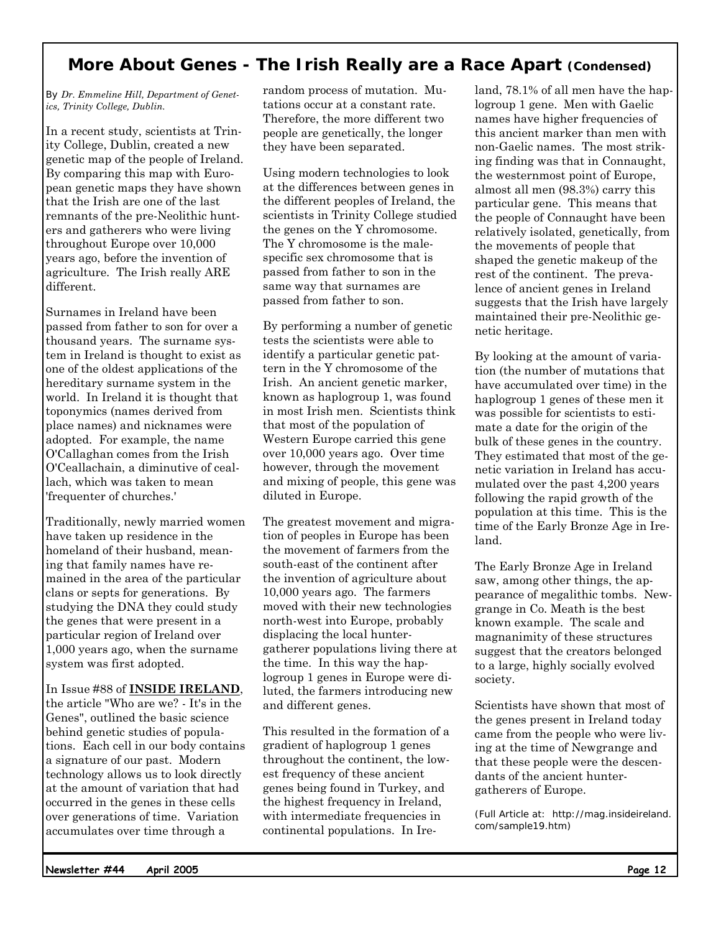### **More About Genes - The Irish Really are a Race Apart (Condensed)**

*By Dr. Emmeline Hill, Department of Genetics, Trinity College, Dublin.*

In a recent study, scientists at Trinity College, Dublin, created a new genetic map of the people of Ireland. By comparing this map with European genetic maps they have shown that the Irish are one of the last remnants of the pre-Neolithic hunters and gatherers who were living throughout Europe over 10,000 years ago, before the invention of agriculture. The Irish really ARE different.

Surnames in Ireland have been passed from father to son for over a thousand years. The surname system in Ireland is thought to exist as one of the oldest applications of the hereditary surname system in the world. In Ireland it is thought that toponymics (names derived from place names) and nicknames were adopted. For example, the name O'Callaghan comes from the Irish O'Ceallachain, a diminutive of ceallach, which was taken to mean 'frequenter of churches.'

Traditionally, newly married women have taken up residence in the homeland of their husband, meaning that family names have remained in the area of the particular clans or septs for generations. By studying the DNA they could study the genes that were present in a particular region of Ireland over 1,000 years ago, when the surname system was first adopted.

In Issue #88 of **INSIDE IRELAND**, the article "Who are we? - It's in the Genes", outlined the basic science behind genetic studies of populations. Each cell in our body contains a signature of our past. Modern technology allows us to look directly at the amount of variation that had occurred in the genes in these cells over generations of time. Variation accumulates over time through a

random process of mutation. Mutations occur at a constant rate. Therefore, the more different two people are genetically, the longer they have been separated.

Using modern technologies to look at the differences between genes in the different peoples of Ireland, the scientists in Trinity College studied the genes on the Y chromosome. The Y chromosome is the malespecific sex chromosome that is passed from father to son in the same way that surnames are passed from father to son.

By performing a number of genetic tests the scientists were able to identify a particular genetic pattern in the Y chromosome of the Irish. An ancient genetic marker, known as haplogroup 1, was found in most Irish men. Scientists think that most of the population of Western Europe carried this gene over 10,000 years ago. Over time however, through the movement and mixing of people, this gene was diluted in Europe.

The greatest movement and migration of peoples in Europe has been the movement of farmers from the south-east of the continent after the invention of agriculture about 10,000 years ago. The farmers moved with their new technologies north-west into Europe, probably displacing the local huntergatherer populations living there at the time. In this way the haplogroup 1 genes in Europe were diluted, the farmers introducing new and different genes.

This resulted in the formation of a gradient of haplogroup 1 genes throughout the continent, the lowest frequency of these ancient genes being found in Turkey, and the highest frequency in Ireland, with intermediate frequencies in continental populations. In Ireland, 78.1% of all men have the haplogroup 1 gene. Men with Gaelic names have higher frequencies of this ancient marker than men with non-Gaelic names. The most striking finding was that in Connaught, the westernmost point of Europe, almost all men (98.3%) carry this particular gene. This means that the people of Connaught have been relatively isolated, genetically, from the movements of people that shaped the genetic makeup of the rest of the continent. The prevalence of ancient genes in Ireland suggests that the Irish have largely maintained their pre-Neolithic genetic heritage.

By looking at the amount of variation (the number of mutations that have accumulated over time) in the haplogroup 1 genes of these men it was possible for scientists to estimate a date for the origin of the bulk of these genes in the country. They estimated that most of the genetic variation in Ireland has accumulated over the past 4,200 years following the rapid growth of the population at this time. This is the time of the Early Bronze Age in Ireland.

The Early Bronze Age in Ireland saw, among other things, the appearance of megalithic tombs. Newgrange in Co. Meath is the best known example. The scale and magnanimity of these structures suggest that the creators belonged to a large, highly socially evolved society.

Scientists have shown that most of the genes present in Ireland today came from the people who were living at the time of Newgrange and that these people were the descendants of the ancient huntergatherers of Europe.

*(Full Article at: http://mag.insideireland. com/sample19.htm)*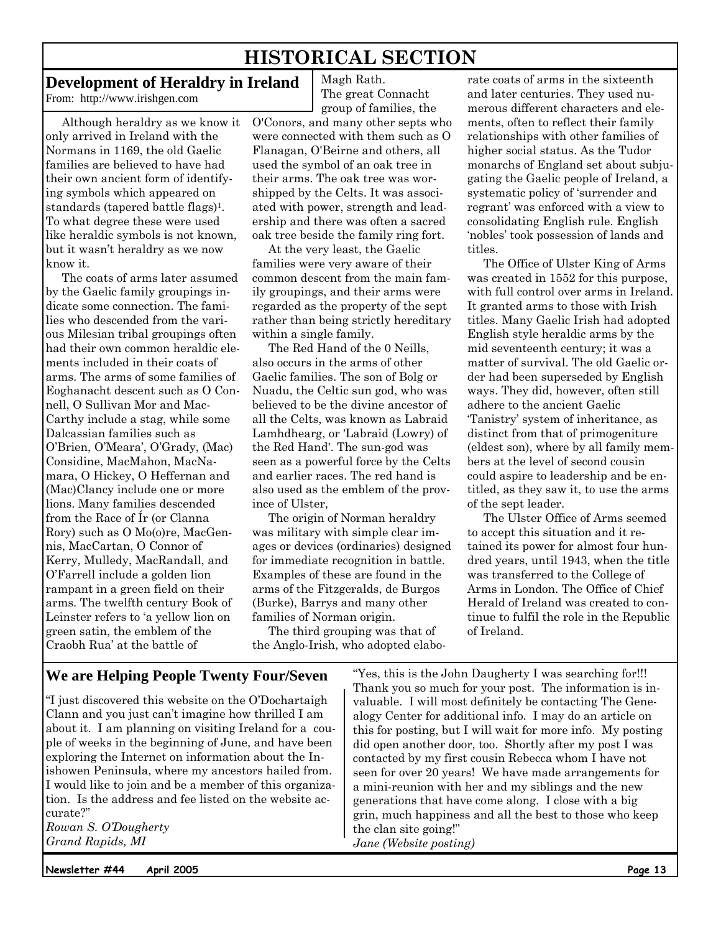# **HISTORICAL SECTION**

The great Connacht

Magh Rath.

### **Development of Heraldry in Ireland**

From: http://www.irishgen.com

Although heraldry as we know it only arrived in Ireland with the Normans in 1169, the old Gaelic families are believed to have had their own ancient form of identifying symbols which appeared on standards (tapered battle flags)<sup>1</sup>. To what degree these were used like heraldic symbols is not known, but it wasn't heraldry as we now know it.

The coats of arms later assumed by the Gaelic family groupings indicate some connection. The families who descended from the various Milesian tribal groupings often had their own common heraldic elements included in their coats of arms. The arms of some families of Eoghanacht descent such as O Connell, O Sullivan Mor and Mac-Carthy include a stag, while some Dalcassian families such as O'Brien, O'Meara', O'Grady, (Mac) Considine, MacMahon, MacNamara, O Hickey, O Heffernan and (Mac)Clancy include one or more lions. Many families descended from the Race of Ír (or Clanna Rory) such as O Mo(o)re, MacGennis, MacCartan, O Connor of Kerry, Mulledy, MacRandall, and O'Farrell include a golden lion rampant in a green field on their arms. The twelfth century Book of Leinster refers to 'a yellow lion on green satin, the emblem of the Craobh Rua' at the battle of

group of families, the O'Conors, and many other septs who were connected with them such as O Flanagan, O'Beirne and others, all used the symbol of an oak tree in their arms. The oak tree was worshipped by the Celts. It was associated with power, strength and leadership and there was often a sacred oak tree beside the family ring fort.

At the very least, the Gaelic families were very aware of their common descent from the main family groupings, and their arms were regarded as the property of the sept rather than being strictly hereditary within a single family.

The Red Hand of the 0 Neills, also occurs in the arms of other Gaelic families. The son of Bolg or Nuadu, the Celtic sun god, who was believed to be the divine ancestor of all the Celts, was known as Labraid Lamhdhearg, or 'Labraid (Lowry) of the Red Hand'. The sun-god was seen as a powerful force by the Celts and earlier races. The red hand is also used as the emblem of the province of Ulster,

The origin of Norman heraldry was military with simple clear images or devices (ordinaries) designed for immediate recognition in battle. Examples of these are found in the arms of the Fitzgeralds, de Burgos (Burke), Barrys and many other families of Norman origin.

The third grouping was that of the Anglo-Irish, who adopted elaborate coats of arms in the sixteenth and later centuries. They used numerous different characters and elements, often to reflect their family relationships with other families of higher social status. As the Tudor monarchs of England set about subjugating the Gaelic people of Ireland, a systematic policy of 'surrender and regrant' was enforced with a view to consolidating English rule. English 'nobles' took possession of lands and titles.

The Office of Ulster King of Arms was created in 1552 for this purpose, with full control over arms in Ireland. It granted arms to those with Irish titles. Many Gaelic Irish had adopted English style heraldic arms by the mid seventeenth century; it was a matter of survival. The old Gaelic order had been superseded by English ways. They did, however, often still adhere to the ancient Gaelic 'Tanistry' system of inheritance, as distinct from that of primogeniture (eldest son), where by all family members at the level of second cousin could aspire to leadership and be entitled, as they saw it, to use the arms of the sept leader.

The Ulster Office of Arms seemed to accept this situation and it retained its power for almost four hundred years, until 1943, when the title was transferred to the College of Arms in London. The Office of Chief Herald of Ireland was created to continue to fulfil the role in the Republic of Ireland.

### **We are Helping People Twenty Four/Seven**

"I just discovered this website on the O'Dochartaigh Clann and you just can't imagine how thrilled I am about it. I am planning on visiting Ireland for a couple of weeks in the beginning of June, and have been exploring the Internet on information about the Inishowen Peninsula, where my ancestors hailed from. I would like to join and be a member of this organization. Is the address and fee listed on the website accurate?"

*Rowan S. O'Dougherty Grand Rapids, MI* 

"Yes, this is the John Daugherty I was searching for!!! Thank you so much for your post. The information is invaluable. I will most definitely be contacting The Genealogy Center for additional info. I may do an article on this for posting, but I will wait for more info. My posting did open another door, too. Shortly after my post I was contacted by my first cousin Rebecca whom I have not seen for over 20 years! We have made arrangements for a mini-reunion with her and my siblings and the new generations that have come along. I close with a big grin, much happiness and all the best to those who keep the clan site going!" *Jane (Website posting)*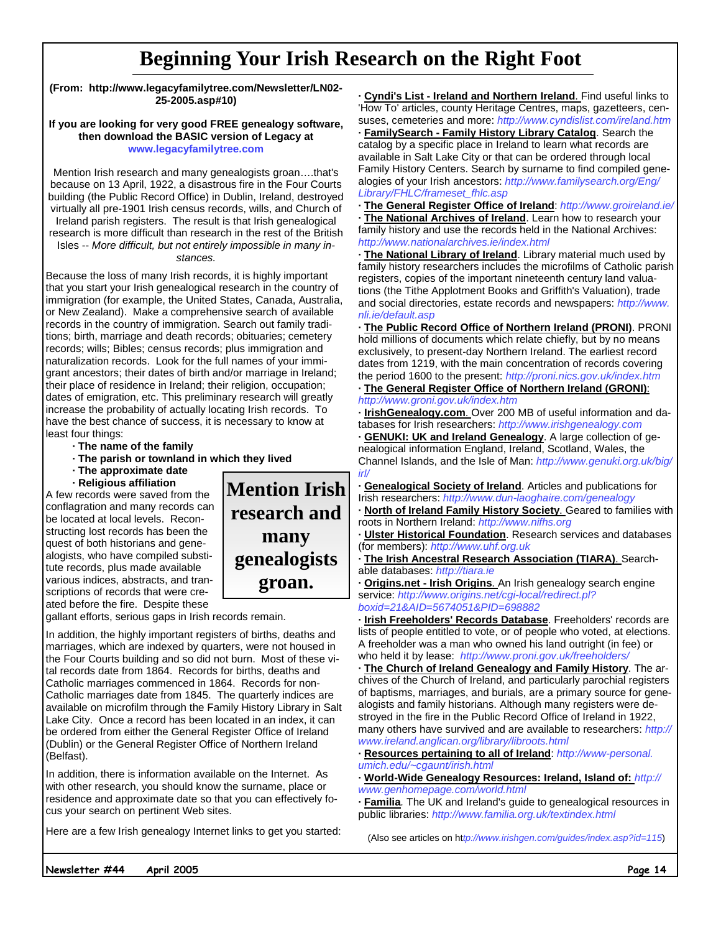# **Beginning Your Irish Research on the Right Foot**

**(From: http://www.legacyfamilytree.com/Newsletter/LN02- 25-2005.asp#10)** 

#### **If you are looking for very good FREE genealogy software, then download the BASIC version of Legacy at www.legacyfamilytree.com**

Mention Irish research and many genealogists groan….that's because on 13 April, 1922, a disastrous fire in the Four Courts building (the Public Record Office) in Dublin, Ireland, destroyed virtually all pre-1901 Irish census records, wills, and Church of Ireland parish registers. The result is that Irish genealogical

research is more difficult than research in the rest of the British Isles -- *More difficult, but not entirely impossible in many in-*

*stances.*

Because the loss of many Irish records, it is highly important that you start your Irish genealogical research in the country of immigration (for example, the United States, Canada, Australia, or New Zealand). Make a comprehensive search of available records in the country of immigration. Search out family traditions; birth, marriage and death records; obituaries; cemetery records; wills; Bibles; census records; plus immigration and naturalization records. Look for the full names of your immigrant ancestors; their dates of birth and/or marriage in Ireland; their place of residence in Ireland; their religion, occupation; dates of emigration, etc. This preliminary research will greatly increase the probability of actually locating Irish records. To have the best chance of success, it is necessary to know at least four things:

- **· The name of the family**
- **· The parish or townland in which they lived**
- **· The approximate date**
- **· Religious affiliation**

A few records were saved from the conflagration and many records can be located at local levels. Reconstructing lost records has been the quest of both historians and genealogists, who have compiled substitute records, plus made available various indices, abstracts, and transcriptions of records that were created before the fire. Despite these



gallant efforts, serious gaps in Irish records remain.

In addition, the highly important registers of births, deaths and marriages, which are indexed by quarters, were not housed in the Four Courts building and so did not burn. Most of these vital records date from 1864. Records for births, deaths and Catholic marriages commenced in 1864. Records for non-Catholic marriages date from 1845. The quarterly indices are available on microfilm through the Family History Library in Salt Lake City. Once a record has been located in an index, it can be ordered from either the General Register Office of Ireland (Dublin) or the General Register Office of Northern Ireland (Belfast).

In addition, there is information available on the Internet. As with other research, you should know the surname, place or residence and approximate date so that you can effectively focus your search on pertinent Web sites.

Here are a few Irish genealogy Internet links to get you started:

**· Cyndi's List - Ireland and Northern Ireland**. Find useful links to 'How To' articles, county Heritage Centres, maps, gazetteers, censuses, cemeteries and more: *http://www.cyndislist.com/ireland.htm*

**· FamilySearch - Family History Library Catalog**. Search the catalog by a specific place in Ireland to learn what records are available in Salt Lake City or that can be ordered through local Family History Centers. Search by surname to find compiled genealogies of your Irish ancestors: *http://www.familysearch.org/Eng/ Library/FHLC/frameset\_fhlc.asp*

**· The General Register Office of Ireland**: *http://www.groireland.ie/* **· The National Archives of Ireland**. Learn how to research your family history and use the records held in the National Archives: *http://www.nationalarchives.ie/index.html*

**· The National Library of Ireland**. Library material much used by family history researchers includes the microfilms of Catholic parish registers, copies of the important nineteenth century land valuations (the Tithe Applotment Books and Griffith's Valuation), trade and social directories, estate records and newspapers: *http://www. nli.ie/default.asp* 

**· The Public Record Office of Northern Ireland (PRONI)**. PRONI hold millions of documents which relate chiefly, but by no means exclusively, to present-day Northern Ireland. The earliest record dates from 1219, with the main concentration of records covering the period 1600 to the present: *http://proni.nics.gov.uk/index.htm*

**· The General Register Office of Northern Ireland (GRONI)**: *http://www.groni.gov.uk/index.htm*

**· IrishGenealogy.com**. Over 200 MB of useful information and databases for Irish researchers: *http://www.irishgenealogy.com*

**· GENUKI: UK and Ireland Genealogy**. A large collection of genealogical information England, Ireland, Scotland, Wales, the Channel Islands, and the Isle of Man: *http://www.genuki.org.uk/big/ irl/* 

**· Genealogical Society of Ireland**. Articles and publications for Irish researchers: *http://www.dun-laoghaire.com/genealogy*

**· North of Ireland Family History Society**. Geared to families with roots in Northern Ireland: *http://www.nifhs.org*

**· Ulster Historical Foundation**. Research services and databases (for members): *http://www.uhf.org.uk*

**· The Irish Ancestral Research Association (TIARA)**. Searchable databases: *http://tiara.ie*

**Origins.net - Irish Origins**. An Irish genealogy search engine service: *http://www.origins.net/cgi-local/redirect.pl? boxid=21&AID=5674051&PID=698882* 

**· Irish Freeholders' Records Database**. Freeholders' records are lists of people entitled to vote, or of people who voted, at elections. A freeholder was a man who owned his land outright (in fee) or who held it by lease: *http://www.proni.gov.uk/freeholders/* 

**· The Church of Ireland Genealogy and Family History**. The archives of the Church of Ireland, and particularly parochial registers of baptisms, marriages, and burials, are a primary source for genealogists and family historians. Although many registers were destroyed in the fire in the Public Record Office of Ireland in 1922, many others have survived and are available to researchers: *http:// www.ireland.anglican.org/library/libroots.html* 

**· Resources pertaining to all of Ireland**: *http://www-personal. umich.edu/~cgaunt/irish.html*

**· World-Wide Genealogy Resources: Ireland, Island of:** *http:// www.genhomepage.com/world.html*

**· Familia***.* The UK and Ireland's guide to genealogical resources in public libraries: *http://www.familia.org.uk/textindex.html*

(Also see articles on ht*tp://www.irishgen.com/guides/index.asp?id=115*)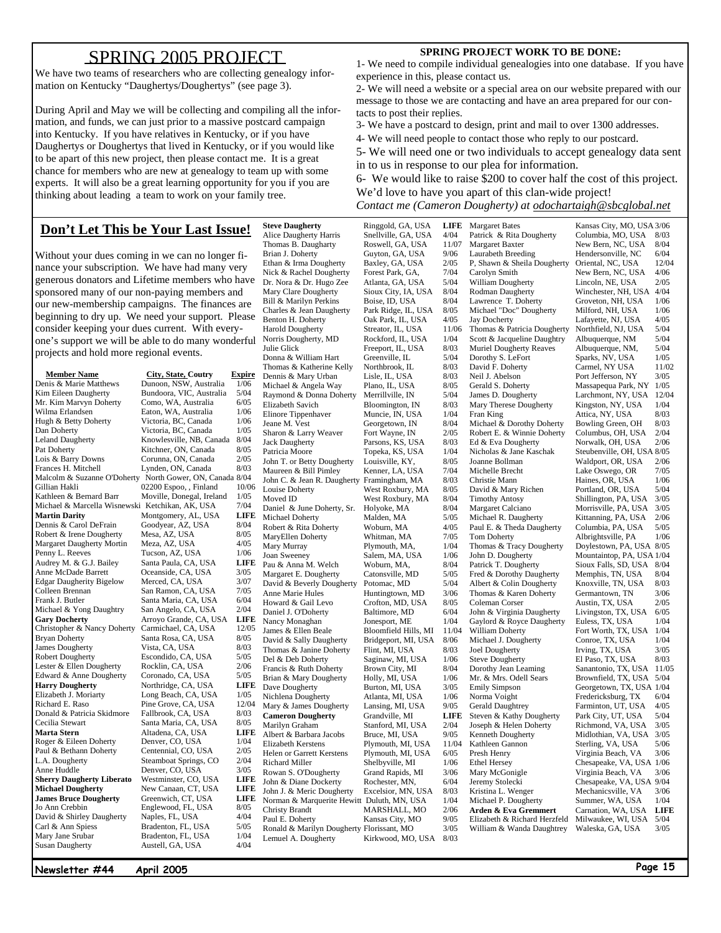### SPRING 2005 PROJECT

We have two teams of researchers who are collecting genealogy information on Kentucky "Daughertys/Doughertys" (see page 3).

During April and May we will be collecting and compiling all the information, and funds, we can just prior to a massive postcard campaign into Kentucky. If you have relatives in Kentucky, or if you have Daughertys or Doughertys that lived in Kentucky, or if you would like to be apart of this new project, then please contact me. It is a great chance for members who are new at genealogy to team up with some experts. It will also be a great learning opportunity for you if you are thinking about leading a team to work on your family tree.

### **Don't Let This be Your Last Issue!**

Without your dues coming in we can no longer finance your subscription. We have had many very generous donators and Lifetime members who have sponsored many of our non-paying members and our new-membership campaigns. The finances are beginning to dry up. We need your support. Please consider keeping your dues current. With everyone's support we will be able to do many wonderful Norris Dougherty, MD Rockford, IL, USA 1/04 projects and hold more regional events.

Michael & Marcella Wisnewski Ketchikan, AK, USA Robert & Irene Dougherty Mesa, AZ, USA<br>Margaret Daugherty Mortin Meza, AZ, USA Audrey M. & G.J. Bailey **Harry Dougherty Northridge, CA, USA Marta Stern Altadena, CA, USA** David & Shirley Daugherty Susan Daugherty **Austell, GA, USA** 

**Member Name** City, State, Coutry Expire<br>
Denis & Marie Matthews Dunoon, NSW, Australia 1/06 Kim Eileen Daugherty Bundoora, VIC, Australia 5/04<br>Mr. Kim Marvyn Doherty Como, WA, Australia 6/05 Mr. Kim Marvyn Doherty Como, WA, Australia 6/05 Wilma Erlandsen Eaton, WA, Australia 1/06<br>Hugh & Betty Doherty Victoria, BC. Canada 1/06 Hugh & Betty Doherty Victoria, BC, Canada 1/06 Dan Doherty Victoria, BC, Canada 1/05 Leland Daugherty Knowlesville, NB, Canada 8/04 Pat Doherty Kitchner, ON, Canada 8/05 Lois & Barry Downs Corunna, ON, Canada  $2/05$ Frances H. Mitchell Lynden, ON, Canada 8/03 Malcolm & Suzanne O'Doherty North Gower, ON, Canada 8/04 Gillian Hakli 02200 Espoo, , Finland 10/06 Moville, Donegal, Ireland 1/05<br>Ketchikan, AK, USA 7/04 **Martin Darity Montgomery, AL, USA LIFE**<br>
Dennis & Carol DeFrain **Goodyear, AZ, USA** 8/04 Dennis & Carol DeFrain Goodyear, AZ, USA 8/04<br>Robert & Irene Dougherty Mesa, AZ, USA 8/05 Margaret Daugherty Mortin Meza, AZ, USA 4/05<br>Penny L. Reeves Tucson, AZ, USA  $1/06$ Penny L. Reeves Tucson, AZ, USA 1/06<br>Audrey M. & G.J. Bailey Santa Paula, CA, USA LIFE Anne McDade Barrett Coeanside, CA, USA 3/05<br>Edgar Daugherity Bigelow Merced, CA, USA 3/07 Edgar Daugherity Bigelow Merced, CA, USA 3/07<br>Colleen Brennan San Ramon, CA, USA 7/05 San Ramon, CA, USA 7/05<br>
Frank J. Butler Santa Maria. CA. USA 6/04 Santa Maria, CA, USA 6/04<br>San Angelo, CA, USA 2/04 Michael & Yong Daughtry San Angelo, CA, USA 2/04<br> **Gary Docherty** Arroyo Grande, CA, USA LIFE Arroyo Grande, CA, USA<br>Carmichael, CA, USA Christopher & Nancy Doherty Carmichael, CA, USA 12/05<br>Bryan Doherty Santa Rosa, CA, USA 8/05 Bryan Doherty Santa Rosa, CA, USA 8/05<br>
James Dougherty Vista, CA, USA 8/03 Vista, CA, USA Robert Dougherty<br>
Lester & Ellen Dougherty<br>
Rocklin, CA, USA 2/06 Lester & Ellen Dougherty Rocklin, CA, USA 2/06<br>Edward & Anne Dougherty Coronado. CA. USA 5/05 Edward & Anne Dougherty Coronado, CA, USA 5/05<br> **Harry Dougherty** Northridge CA USA LIFE Elizabeth J. Moriarty Long Beach, CA, USA 1/05<br>Richard E. Raso Pine Grove, CA, USA 12/04 Pine Grove, CA, USA Donald & Patricia Skidmore Fallbrook, CA, USA 8/03 Cecilia Stewart Santa Maria, CA, USA 8/05 Roger & Eileen Doherty Denver, CO, USA 1/04<br>
Paul & Bethann Doherty Centennial CO USA 2/05 Paul & Bethann Doherty Centennial, CO, USA  $2/05$ L.A. Dougherty Steamboat Springs, CO  $2/04$ Anne Huddle Denver, CO, USA  $3/05$ **Sherry Daugherty Liberato Westminster, CO, USA LIFE Michael Dougherty New Canaan, CT, USA** LIFE  $New Canaan, CT, USA$ **James Bruce Dougherty** Greenwich, CT, USA **LIFE**<br>
Jo Ann Crebbin **Englewood, FL, USA** 8/05 Englewood, FL, USA 8/05<br>Naples, FL, USA 4/04 Carl & Ann Spiess Bradenton, FL, USA 5/05 Bradenton, FL, USA 1/04<br>Austell, GA, USA 4/04

Alice Daugherty Harris Snellville, GA, USA 4/04<br>Thomas B. Daugharty Roswell, GA, USA 11/07 Thomas B. Daugharty Brian J. Doherty Guyton, GA, USA 9/06<br>Ethan & Irma Dougherty Baxley, GA, USA 2/05 Ethan & Irma Dougherty Baxley, GA, USA 2/05<br>Nick & Rachel Dougherty Forest Park, GA, 7/04 Nick & Rachel Dougherty Dr. Nora & Dr. Hugo Zee Atlanta, GA, USA 5/04 Mary Clare Dougherty<br>
Bill & Marilyn Perkins<br>
Boise, ID, USA Bill & Marilyn Perkins Boise, ID, USA 8/04<br>Charles & Jean Daugherty Park Ridge, IL, USA 8/05 Charles & Jean Daugherty Park Ridge, IL, USA 8/05<br>Benton H. Doherty Oak Park, IL, USA 4/05 Benton H. Doherty Oak Park, IL, USA 4/05<br>Harold Dougherty Streator, IL, USA 11/06 Julie Glick Freeport, IL, USA 8/03<br>Donna & William Hart Greenville, IL 5/04 Donna & William Hart Greenville, IL 5/04 Thomas & Katherine Kelly Northbrook, IL 8/03<br>Dennis & Mary Urban Lisle, IL, USA 8/03 Dennis & Mary Urban Lisle, IL, USA 8/03<br>Michael & Angela Way Plano, IL, USA 8/05 Michael & Angela Way Plano, IL, USA<br>Raymond & Donna Doherty Merrillville, IN Raymond & Donna Doherty Merrillville, IN 5/04<br>Elizabeth Savich Bloomington, IN 8/03 Elinore Tippenhaver Jeane M. Vest Georgetown, IN 8/04<br>Sharon & Larry Weaver Fort Wayne, IN 2/05 Sharon & Larry Weaver Fort Wayne, IN 2/05<br>Jack Daugherty Parsons, KS, USA 8/03 Patricia Moore Topeka, KS, USA 1/04<br>John T. or Betty Dougherty Louisville, KY. 8/05 John T. or Betty Dougherty Louisville, KY, 8/05<br>Maureen & Bill Pimley Kenner LA USA 7/04 Maureen & Bill Pimley John C. & Jean R. Daugherty Framingham, MA 8/03 Louise Doherty<br>
West Roxbury, MA 8/05<br>
West Roxbury, MA 8/04 Daniel & June Doherty, Sr. Holyoke, MA 8/04 Michael Doherty Malden, MA 5/05 Robert & Rita Doherty Woburn, MA 4/05 MaryEllen Doherty Whitman, MA 7/05 Mary Murray Plymouth, MA,  $1/04$ <br>Joan Sweeney Salem, MA, USA  $1/06$ Pau & Anna M. Welch Woburn, MA, 8/04<br>Margaret E. Dougherty Catonsville, MD 5/05 Margaret E. Dougherty Catonsville, MD 5/05<br>David & Beverly Dougherty Potomac, MD 5/04 David & Beverly Dougherty Anne Marie Hules Huntingtown, MD 3/06<br>Howard & Gail Levo Crofton, MD, USA 8/05 Daniel J. O'Doherty Nancy Monaghan Jonesport, ME 1/04<br>James & Ellen Beale Bloomfield Hills, MI 11/04 James & Ellen Beale Bloomfield Hills, MI 11/04<br>David & Sally Daugherty Bridgeport, MI, USA 8/06 Thomas & Janine Doherty Flint, MI, USA 8/03<br>Del & Deb Doherty Saginaw, MI, USA 1/06 Francis & Ruth Doherty Brown City, MI 8/04<br>Brian & Mary Dougherty Holly, MI, USA 1/06 Brian & Mary Dougherty Holly, MI, USA 1/06<br>Dave Dougherty Burton, MI, USA 3/05 Nichlena Dougherty Mary & James Dougherty Lansing, MI, USA 9/05 **Cameron Dougherty** Grandville, MI **LIFE**<br>Marilyn Graham Stanford, MI, USA 2/04 Albert & Barbara Jacobs Bruce, MI, USA 9/05<br>Elizabeth Kerstens Plymouth, MI, USA 11/04 Helen or Garrett Kerstens Richard Miller Shelbyville, MI 1/06<br>Rowan S. O'Dougherty Grand Rapids, MI 3/06 Rowan S. O'Dougherty Grand Rapids, MI 3/06<br>
John & Diane Dockerty Rochester MN 6/04 John & Diane Dockerty Rochester, MN,<br>John J. & Meric Dougherty Excelsior, MN, USA John J. & Meric Dougherty Excelsior, MN, USA 8/03 Norman & Marquerite Hewitt Duluth, MN, USA 1/04<br>Christy Brandt MARSHALL, MO 2/06 Christy Brandt MARSHALL, MO Paul E. Doherty Kansas City, MO 9/05 Ronald & Marilyn Dougherty Florissant, MO 3/05 Lemuel A. Dougherty Kirkwood, MO, USA 8/03

**Steve Daugherty** Ringgold, GA, USA **LIFE**  Streator, IL, USA Bloomington, IN 8/03<br>Muncie, IN, USA 1/04 Parsons, KS, USA West Roxbury, MA Salem, MA, USA<br>Woburn, MA, Crofton, MD, USA 8/05<br>Baltimore, MD 6/04 Bridgeport, MI, USA Saginaw, MI, USA 1/06<br>Brown City, MI 8/04 Burton, MI, USA  $3/05$ <br>Atlanta, MI, USA  $1/06$ Stanford, MI, USA 2/04 Plymouth, MI, USA 11/04<br>Plymouth, MI, USA 6/05

Margaret Bates Patrick & Rita Dougherty Margaret Baxter Laurabeth Breeding P, Shawn & Sheila Dougherty Carolyn Smith William Dougherty Rodman Daugherty Lawrence T. Doherty Michael "Doc" Dougherty Jay Docherty Thomas & Patricia Dougherty Scott & Jacqueline Daughtry Muriel Dougherty Reaves Dorothy S. LeFort David F. Doherty Neil J. Abelson Gerald S. Doherty James D. Dougherty Mary Therese Dougherty Fran King Michael & Dorothy Doherty Robert E. & Winnie Doherty Ed & Eva Dougherty Nicholas & Jane Kaschak Joanne Bollman Michelle Brecht Christie Mann David & Mary Richen Timothy Antosy Margaret Calciano Michael R. Daugherty Paul E. & Theda Daugherty Tom Doherty Thomas & Tracy Dougherty John D. Dougherty Patrick T. Dougherty Fred & Dorothy Daugherty Albert & Colin Dougherty Thomas & Karen Doherty Coleman Corser John & Virginia Daugherty Gaylord & Royce Daugherty William Doherty Michael J. Dougherty Joel Dougherty Steve Dougherty Dorothy Jean Leaming Mr. & Mrs. Odell Sears Emily Simpson Norma Voight Gerald Daughtrey Steven & Kathy Dougherty Joseph & Helen Doherty Kenneth Dougherty Kathleen Gannon Presh Henry Ethel Hersey Mary McGonigle Jeremy Stolecki Kristina L. Wenger Michael P. Dougherty **Arden & Eva Gremmert** 

> Elizabeth & Richard Herzfeld William & Wanda Daughtrey

#### **SPRING PROJECT WORK TO BE DONE:**

1- We need to compile individual genealogies into one database. If you have experience in this, please contact us.

2- We will need a website or a special area on our website prepared with our message to those we are contacting and have an area prepared for our contacts to post their replies.

3- We have a postcard to design, print and mail to over 1300 addresses.

4- We will need people to contact those who reply to our postcard.

5- We will need one or two individuals to accept genealogy data sent in to us in response to our plea for information.

6- We would like to raise \$200 to cover half the cost of this project. We'd love to have you apart of this clan-wide project! *Contact me (Cameron Dougherty) at odochartaigh@sbcglobal.net*

| Kansas City, MO, USA 3/06               |       |
|-----------------------------------------|-------|
|                                         |       |
|                                         |       |
| Columbia, MO, USA                       | 8/03  |
| New Bern, NC, USA                       | 8/04  |
| Hendersonville, NC                      | 6/04  |
| Oriental, NC, USA                       | 12/04 |
|                                         |       |
| New Bern, NC, USA                       | 4/06  |
| Lincoln, NE, USA                        | 2/05  |
| Winchester, NH, USA                     | 4/04  |
| Groveton, NH, USA                       | 1/06  |
|                                         |       |
| Milford, NH, USA                        | 1/06  |
| Lafayette, NJ, USA                      | 4/05  |
| Northfield, NJ, USA                     | 5/04  |
| Albuquerque, NM                         | 5/04  |
|                                         |       |
| Albuquerque, NM,                        | 5/04  |
| Sparks, NV, USA                         | 1/05  |
| Carmel, NY USA                          | 11/02 |
| Port Jefferson, NY                      | 3/05  |
|                                         |       |
| Massapequa Park, NY                     | 1/05  |
| Larchmont, NY, USA                      | 12/04 |
|                                         | 1/04  |
| Kingston, NY, USA<br>Attica, NY, USA    | 8/03  |
|                                         |       |
| Bowling Green, OH                       | 8/03  |
| Columbus, OH, USA                       | 2/04  |
| Norwalk, OH, USA                        | 2/06  |
| Steubenville, OH, USA                   | 8/05  |
|                                         |       |
| Waldport, OR, USA                       | 2/06  |
| Lake Oswego, OR                         | 7/05  |
| Haines, OR, USA                         | 1/06  |
| Portland, OR, USA                       | 5/04  |
|                                         |       |
| Shillington, PA, USA                    | 3/05  |
| Morrisville, PA, USA                    | 3/05  |
| Kittanning, PA, USA                     | 2/06  |
|                                         | 5/05  |
| Columbia, PA, USA<br>Albrightsville, PA |       |
|                                         | 1/06  |
|                                         |       |
| Doylestown, PA, USA                     | 8/05  |
|                                         |       |
| Mountaintop, PA, USA                    | 1/04  |
| Sioux Falls, SD, USA                    | 8/04  |
|                                         | 8/04  |
|                                         | 8/03  |
| Memphis, TN, USA<br>Knoxville, TN, USA  |       |
| Germantown, TN                          | 3/06  |
|                                         | 2/05  |
|                                         | 6/05  |
| Austin, TX, USA<br>Livingston, TX, USA  | 1/04  |
| Euless, TX, USA                         | 1/04  |
|                                         |       |
| Fort Worth, TX, USA<br>Conroe, TX, USA  | 1/04  |
| Irving, TX, USA                         | 3/05  |
| El Paso, TX, USA                        | 8/03  |
|                                         |       |
| Sanantonio, TX, USA                     | 11/05 |
| Brownfield, TX, USA                     | 5/04  |
| Georgetown, TX, USA                     | 1/04  |
| Fredericksburg, TX                      | 6/04  |
|                                         |       |
| Farminton, UT, USA                      | 4/05  |
|                                         | 5/04  |
| Park City, UT, USA<br>Richmond, VA, USA | 3/05  |
|                                         | 3/05  |
| Midlothian, VA, USA                     | 5/06  |
| Sterling, VA, USA                       |       |
| Virginia Beach, VA                      | 3/06  |
| Chesapeake, VA, USA                     | 1/06  |
|                                         | 3/06  |
| Virginia Beach, VA                      | 9/04  |
| Chesapeake, VA, USA                     |       |
| Mechanicsville, VA                      | 3/06  |
| Summer, WA, USA                         | 1/04  |
| Carnation, WA, USA                      | LIFE  |
|                                         | 5/04  |
| Milwaukee, WI, USA<br>Waleska, GA, USA  | 3/05  |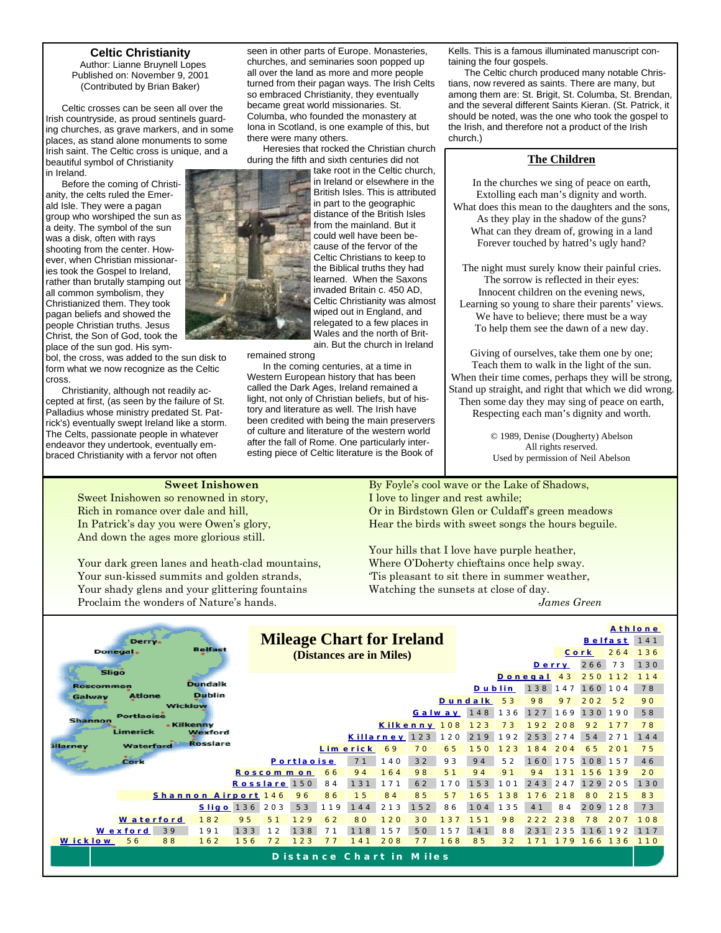#### **Celtic Christianity**

 Author: Lianne Bruynell Lopes Published on: November 9, 2001 (Contributed by Brian Baker)

Celtic crosses can be seen all over the Irish countryside, as proud sentinels guarding churches, as grave markers, and in some places, as stand alone monuments to some Irish saint. The Celtic cross is unique, and a beautiful symbol of Christianity

in Ireland. Before the coming of Christianity, the celts ruled the Emerald Isle. They were a pagan group who worshiped the sun as a deity. The symbol of the sun was a disk, often with rays shooting from the center. However, when Christian missionaries took the Gospel to Ireland, rather than brutally stamping out all common symbolism, they Christianized them. They took pagan beliefs and showed the people Christian truths. Jesus Christ, the Son of God, took the place of the sun god. His sym-

bol, the cross, was added to the sun disk to form what we now recognize as the Celtic cross.

Christianity, although not readily accepted at first, (as seen by the failure of St. Palladius whose ministry predated St. Patrick's) eventually swept Ireland like a storm. The Celts, passionate people in whatever endeavor they undertook, eventually embraced Christianity with a fervor not often

seen in other parts of Europe. Monasteries, churches, and seminaries soon popped up all over the land as more and more people turned from their pagan ways. The Irish Celts so embraced Christianity, they eventually became great world missionaries. St. Columba, who founded the monastery at Iona in Scotland, is one example of this, but there were many others.

Heresies that rocked the Christian church during the fifth and sixth centuries did not

take root in the Celtic church, in Ireland or elsewhere in the British Isles. This is attributed in part to the geographic distance of the British Isles from the mainland. But it could well have been because of the fervor of the Celtic Christians to keep to the Biblical truths they had learned. When the Saxons invaded Britain c. 450 AD, Celtic Christianity was almost wiped out in England, and relegated to a few places in Wales and the north of Britain. But the church in Ireland

remained strong

In the coming centuries, at a time in Western European history that has been called the Dark Ages, Ireland remained a light, not only of Christian beliefs, but of history and literature as well. The Irish have been credited with being the main preservers of culture and literature of the western world after the fall of Rome. One particularly interesting piece of Celtic literature is the Book of

Kells. This is a famous illuminated manuscript containing the four gospels.

The Celtic church produced many notable Christians, now revered as saints. There are many, but among them are: St. Brigit, St. Columba, St. Brendan, and the several different Saints Kieran. (St. Patrick, it should be noted, was the one who took the gospel to the Irish, and therefore not a product of the Irish church.)

#### **The Children**

In the churches we sing of peace on earth, Extolling each man's dignity and worth. What does this mean to the daughters and the sons, As they play in the shadow of the guns? What can they dream of, growing in a land Forever touched by hatred's ugly hand?

The night must surely know their painful cries. The sorrow is reflected in their eyes: Innocent children on the evening news, Learning so young to share their parents' views. We have to believe; there must be a way To help them see the dawn of a new day.

Giving of ourselves, take them one by one; Teach them to walk in the light of the sun. When their time comes, perhaps they will be strong, Stand up straight, and right that which we did wrong. Then some day they may sing of peace on earth, Respecting each man's dignity and worth.

> © 1989, Denise (Dougherty) Abelson All rights reserved. Used by permission of Neil Abelson

#### **Sweet Inishowen**

Sweet Inishowen so renowned in story, Rich in romance over dale and hill, In Patrick's day you were Owen's glory, And down the ages more glorious still.

Your dark green lanes and heath-clad mountains, Your sun-kissed summits and golden strands, Your shady glens and your glittering fountains Proclaim the wonders of Nature's hands.

By Foyle's cool wave or the Lake of Shadows, I love to linger and rest awhile; Or in Birdstown Glen or Culdaff's green meadows Hear the birds with sweet songs the hours beguile.

Your hills that I love have purple heather, Where O'Doherty chieftains once help sway. 'Tis pleasant to sit there in summer weather, Watching the sunsets at close of day.

 *James Green* 

| Derry.<br><b>Belfast</b><br>Donegal.                                                                                 | <b>Mileage Chart for Ireland</b>                 |                  |                      |                                         | (Distances are in Miles)                   |                       |                                   |                             |                              | Derry                      |                                    | Cork<br>266               | Belfast 141<br>264<br>73 | Athlone<br>136<br>130 |
|----------------------------------------------------------------------------------------------------------------------|--------------------------------------------------|------------------|----------------------|-----------------------------------------|--------------------------------------------|-----------------------|-----------------------------------|-----------------------------|------------------------------|----------------------------|------------------------------------|---------------------------|--------------------------|-----------------------|
| <b>Sligo</b><br><b>Dundalk</b><br><b>Roscommon</b><br><b>Dublin</b><br><b>Atlone</b><br>Galway<br>Wicklow            |                                                  |                  |                      |                                         |                                            |                       | Dundalk                           | <b>Dublin</b>               | Donegal<br>53                | 138<br>98                  | 4 3<br>147<br>97                   | 250<br>160<br>202         | 0.4<br>5 <sub>2</sub>    | 114<br>78<br>90       |
| <b>Portlaoise</b><br><b>Shannon</b><br>- Kilkenny<br>Limerick<br>Wexford<br><b>Rosslare</b><br>Waterford<br>illarney |                                                  |                  |                      | Killarney                               | Kilkenny 108                               | Galway<br>123         | 120                               | 148<br>123<br>219<br>50     | 36<br>73<br>92               | 27<br>Q<br>2<br>3<br>5     | 169<br>208<br>27<br>$\overline{A}$ | 130<br>92<br>54           | 190<br>77<br>27          | 58<br>78<br>144       |
| Cork                                                                                                                 | Roscommon<br>Rosslare 150                        | Portlaoise       | 66<br>84             | Limerick<br>7 <sub>1</sub><br>94<br>131 | 69<br>140<br>164<br>1 7 1                  | 70<br>32<br>98<br>6 2 | 65<br>93<br>5 <sub>1</sub><br>170 | 94<br>94<br>153             | 23<br>52<br>91<br>$\Omega$ 1 | 8<br>$\Delta$<br>94<br>243 | 204<br>175<br>31<br>247            | 65<br>08<br>5<br>6<br>129 | 201<br>157<br>39<br>205  | 75<br>46<br>20<br>130 |
| Shannon Airport 146<br><b>Sligo</b> 136                                                                              | 203                                              | 96<br>53         | 86<br>19             | 15<br>144                               | 84<br>-3<br>2 <sub>1</sub>                 | 85<br>5 <sub>2</sub>  | 5 <sub>7</sub><br>86              | 65<br>104                   | 38<br>35                     | 6<br>41                    | 21<br>-8<br>84                     | 80<br>209                 | 215<br>128               | 83<br>73              |
| 182<br>W aterford<br>191<br>39<br><b>Wexford</b><br>56<br>88<br>162<br>W ick low                                     | 95<br>5 <sub>1</sub><br>1 3 3<br>12<br>156<br>72 | 129<br>138<br>23 | 62<br>7 <sub>7</sub> | 80<br>8<br>14                           | 120<br>5<br>208<br>Distance Chart in Miles | 30<br>50              | 13<br>5<br>168                    | 5 <sub>1</sub><br>4 1<br>85 | 98<br>88<br>3 <sub>2</sub>   | 22                         | 238<br>235                         | $\mathbf{R}$<br>6<br>6    | 207<br>9<br>36           | 108<br>117<br>110     |